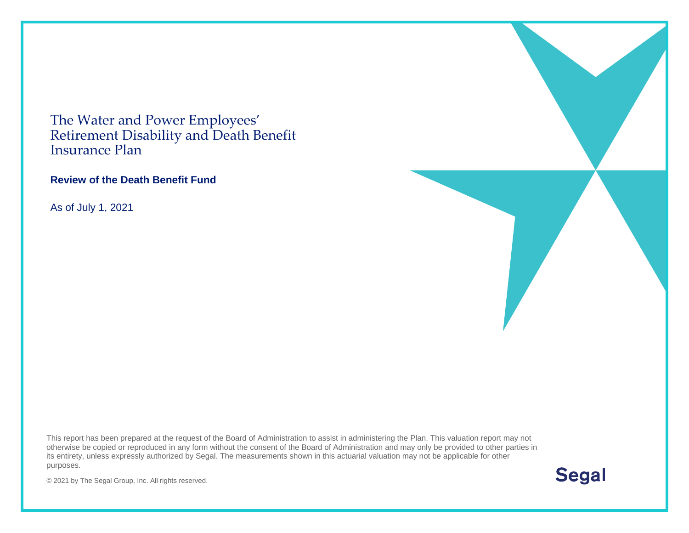The Water and Power Employees' Retirement Disability and Death Benefit Insurance Plan

#### **Review of the Death Benefit Fund**

As of July 1, 2021

This report has been prepared at the request of the Board of Administration to assist in administering the Plan. This valuation report may not otherwise be copied or reproduced in any form without the consent of the Board of Administration and may only be provided to other parties in its entirety, unless expressly authorized by Segal. The measurements shown in this actuarial valuation may not be applicable for other purposes.

**Segal** 

© 2021 by The Segal Group, Inc. All rights reserved.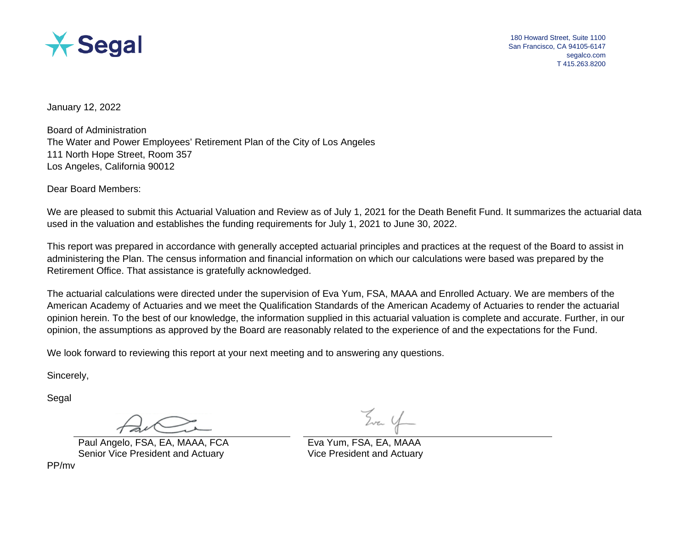

180 Howard Street, Suite 1100 San Francisco, CA 94105-6147 segalco.com T 415.263.8200

January 12, 2022

Board of Administration The Water and Power Employees' Retirement Plan of the City of Los Angeles 111 North Hope Street, Room 357 Los Angeles, California 90012

Dear Board Members:

We are pleased to submit this Actuarial Valuation and Review as of July 1, [2021](#page--1-0) for the Death Benefit Fund. It summarizes the actuarial data used in the valuation and establishes the funding requirements for July 1, [2021](#page--1-0) to June 30, [2022.](#page--1-1)

This report was prepared in accordance with generally accepted actuarial principles and practices at the request of the Board to assist in administering the Plan. The census information and financial information on which our calculations were based was prepared by the Retirement Office. That assistance is gratefully acknowledged.

The actuarial calculations were directed under the supervision of Eva Yum, FSA, MAAA and Enrolled Actuary. We are members of the American Academy of Actuaries and we meet the Qualification Standards of the American Academy of Actuaries to render the actuarial opinion herein. To the best of our knowledge, the information supplied in this actuarial valuation is complete and accurate. Further, in our opinion, the assumptions as approved by the Board are reasonably related to the experience of and the expectations for the Fund.

We look forward to reviewing this report at your next meeting and to answering any questions.

Sincerely,

Segal

Paul Angelo, FSA, EA, MAAA, FCA Eva Yum, FSA, EA, MAAA Senior Vice President and Actuary Vice President and Actuary

PP/mv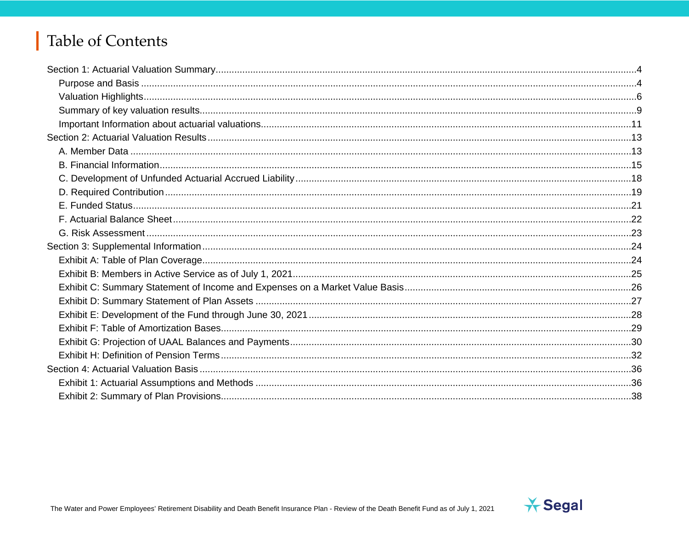# Table of Contents

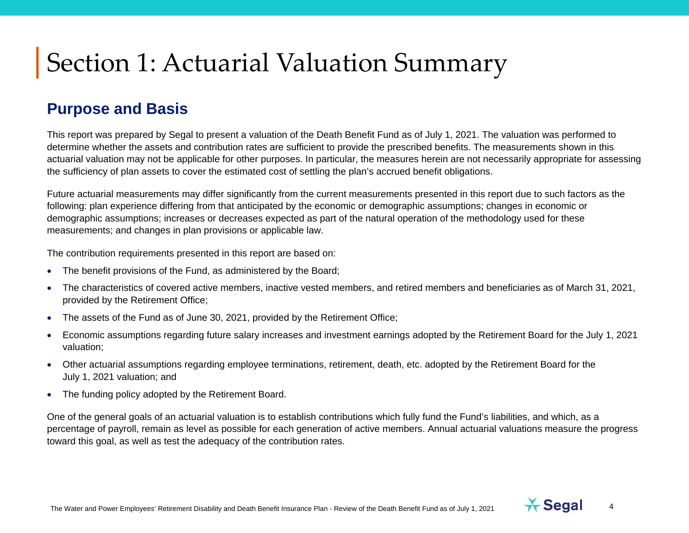#### **Purpose and Basis**

This report was prepared by Segal to present a valuation of the Death Benefit Fund as of July 1, [2021.](#page--1-0) The valuation was performed to determine whether the assets and contribution rates are sufficient to provide the prescribed benefits. The measurements shown in this actuarial valuation may not be applicable for other purposes. In particular, the measures herein are not necessarily appropriate for assessing the sufficiency of plan assets to cover the estimated cost of settling the plan's accrued benefit obligations.

Future actuarial measurements may differ significantly from the current measurements presented in this report due to such factors as the following: plan experience differing from that anticipated by the economic or demographic assumptions; changes in economic or demographic assumptions; increases or decreases expected as part of the natural operation of the methodology used for these measurements; and changes in plan provisions or applicable law.

The contribution requirements presented in this report are based on:

- The benefit provisions of the Fund, as administered by the Board;
- The characteristics of covered active members, inactive vested members, and retired members and beneficiaries as of March 31, [2021,](#page--1-0) provided by the Retirement Office;
- The assets of the Fund as of June 30, [2021,](#page--1-0) provided by the Retirement Office;
- Economic assumptions regarding future salary increases and investment earnings adopted by the Retirement Board for the July 1, [2021](#page--1-0) valuation;
- Other actuarial assumptions regarding employee terminations, retirement, death, etc. adopted by the Retirement Board for the July 1, [2021](#page--1-0) valuation; and
- The funding policy adopted by the Retirement Board.

One of the general goals of an actuarial valuation is to establish contributions which fully fund the Fund's liabilities, and which, as a percentage of payroll, remain as level as possible for each generation of active members. Annual actuarial valuations measure the progress toward this goal, as well as test the adequacy of the contribution rates.

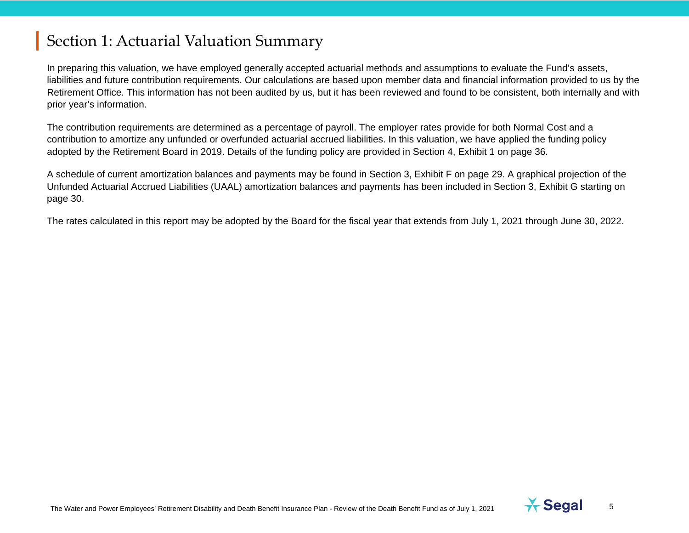In preparing this valuation, we have employed generally accepted actuarial methods and assumptions to evaluate the Fund's assets, liabilities and future contribution requirements. Our calculations are based upon member data and financial information provided to us by the Retirement Office. This information has not been audited by us, but it has been reviewed and found to be consistent, both internally and with prior year's information.

The contribution requirements are determined as a percentage of payroll. The employer rates provide for both Normal Cost and a contribution to amortize any unfunded or overfunded actuarial accrued liabilities. In this valuation, we have applied the funding policy adopted by the Retirement Board in 2019. Details of the funding policy are provided in Section 4, Exhibit 1 on page [36.](#page-35-0)

A schedule of current amortization balances and payments may be found in Section 3, Exhibit F on page [29.](#page-28-0) A graphical projection of the Unfunded Actuarial Accrued Liabilities (UAAL) amortization balances and payments has been included in Section 3, Exhibit G starting on page [30.](#page--1-2)

The rates calculated in this report may be adopted by the Board for the fiscal year that extends from July 1, [2021](#page--1-0) through June 30, [2022.](#page--1-1)

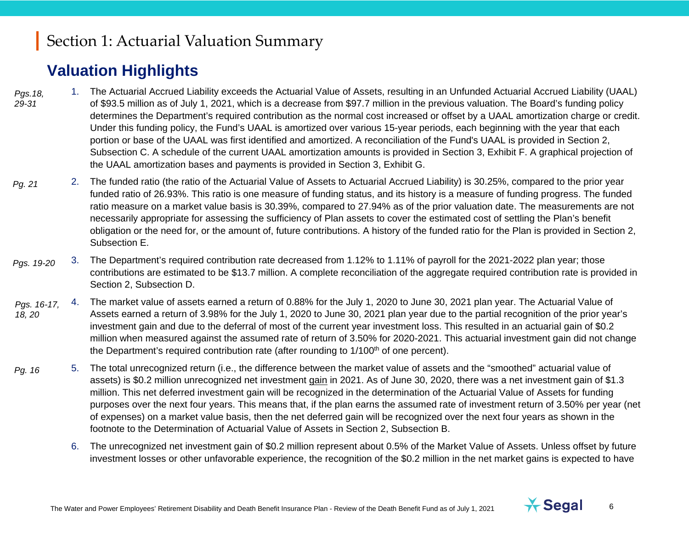## **Valuation Highlights**

- 1. The Actuarial Accrued Liability exceeds the Actuarial Value of Assets, resulting in an Unfunded Actuarial Accrued Liability (UAAL) of \$93.5 million as of July 1, [2021,](#page--1-0) which is a decrease from \$97.7 million in the previous valuation. The Board's funding policy determines the Department's required contribution as the normal cost increased or offset by a UAAL amortization charge or credit. Under this funding policy, the Fund's UAAL is amortized over various 15-year periods, each beginning with the year that each portion or base of the UAAL was first identified and amortized. A reconciliation of the Fund's UAAL is provided in Section 2, Subsection C. A schedule of the current UAAL amortization amounts is provided in Section 3, Exhibit F. A graphical projection of the UAAL amortization bases and payments is provided in Section 3, Exhibit G. *Pgs.18, 29-31*
- 2. The funded ratio (the ratio of the Actuarial Value of Assets to Actuarial Accrued Liability) is 30.25%, compared to the prior year funded ratio of 26.93%. This ratio is one measure of funding status, and its history is a measure of funding progress. The funded ratio measure on a market value basis is 30.39%, compared to 27.94% as of the prior valuation date. The measurements are not necessarily appropriate for assessing the sufficiency of Plan assets to cover the estimated cost of settling the Plan's benefit obligation or the need for, or the amount of, future contributions. A history of the funded ratio for the Plan is provided in Section 2, Subsection E. *Pg. 21*
- 3. The Department's required contribution rate decreased from 1.12% to 1.11% of payroll for the [2021](#page--1-0)[-2022](#page--1-1) plan year; those contributions are estimated to be \$13.7 million. A complete reconciliation of the aggregate required contribution rate is provided in Section 2, Subsection D. *Pgs. 19-20*
- 4. The market value of assets earned a return of 0.88% for the July 1, [2020](#page--1-3) to June 30, [2021](#page--1-0) plan year. The Actuarial Value of Assets earned a return of 3.98% for the July 1, [2020](#page--1-3) to June 30, [2021](#page--1-0) plan year due to the partial recognition of the prior year's investment gain and due to the deferral of most of the current year investment loss. This resulted in an actuarial gain of \$0.2 million when measured against the assumed rate of return of 3.50% for [2020-](#page--1-3)[2021.](#page--1-0) This actuarial investment gain did not change the Department's required contribution rate (after rounding to 1/100<sup>th</sup> of one percent). *Pgs. 16-17, 18, 20*
- 5. The total unrecognized return (i.e., the difference between the market value of assets and the "smoothed" actuarial value of assets) is \$0.2 million unrecognized net investment gain in 2021. As of June 30, 2020, there was a net investment gain of \$1.3 million. This net deferred investment gain will be recognized in the determination of the Actuarial Value of Assets for funding purposes over the next four years. This means that, if the plan earns the assumed rate of investment return of 3.50% per year (net of expenses) on a market value basis, then the net deferred gain will be recognized over the next four years as shown in the footnote to the Determination of Actuarial Value of Assets in Section 2, Subsection B. *Pg.* 16
	- 6. The unrecognized net investment gain of \$0.2 million represent about 0.5% of the Market Value of Assets. Unless offset by future investment losses or other unfavorable experience, the recognition of the \$0.2 million in the net market gains is expected to have

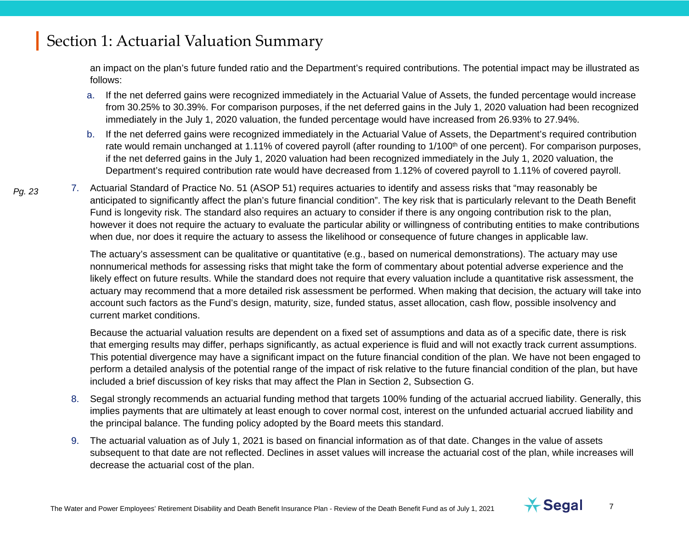an impact on the plan's future funded ratio and the Department's required contributions. The potential impact may be illustrated as follows:

- a. If the net deferred gains were recognized immediately in the Actuarial Value of Assets, the funded percentage would increase from 30.25% to 30.39%. For comparison purposes, if the net deferred gains in the July 1, 2020 valuation had been recognized immediately in the July 1, 2020 valuation, the funded percentage would have increased from 26.93% to 27.94%.
- b. If the net deferred gains were recognized immediately in the Actuarial Value of Assets, the Department's required contribution rate would remain unchanged at 1.11% of covered payroll (after rounding to 1/100<sup>th</sup> of one percent). For comparison purposes, if the net deferred gains in the July 1, 2020 valuation had been recognized immediately in the July 1, 2020 valuation, the Department's required contribution rate would have decreased from 1.12% of covered payroll to 1.11% of covered payroll.
- 7. Actuarial Standard of Practice No. 51 (ASOP 51) requires actuaries to identify and assess risks that "may reasonably be anticipated to significantly affect the plan's future financial condition". The key risk that is particularly relevant to the Death Benefit Fund is longevity risk. The standard also requires an actuary to consider if there is any ongoing contribution risk to the plan, however it does not require the actuary to evaluate the particular ability or willingness of contributing entities to make contributions when due, nor does it require the actuary to assess the likelihood or consequence of future changes in applicable law. *Pg. 23*

The actuary's assessment can be qualitative or quantitative (e.g., based on numerical demonstrations). The actuary may use nonnumerical methods for assessing risks that might take the form of commentary about potential adverse experience and the likely effect on future results. While the standard does not require that every valuation include a quantitative risk assessment, the actuary may recommend that a more detailed risk assessment be performed. When making that decision, the actuary will take into account such factors as the Fund's design, maturity, size, funded status, asset allocation, cash flow, possible insolvency and current market conditions.

Because the actuarial valuation results are dependent on a fixed set of assumptions and data as of a specific date, there is risk that emerging results may differ, perhaps significantly, as actual experience is fluid and will not exactly track current assumptions. This potential divergence may have a significant impact on the future financial condition of the plan. We have not been engaged to perform a detailed analysis of the potential range of the impact of risk relative to the future financial condition of the plan, but have included a brief discussion of key risks that may affect the Plan in Section 2, Subsection G.

- 8. Segal strongly recommends an actuarial funding method that targets 100% funding of the actuarial accrued liability. Generally, this implies payments that are ultimately at least enough to cover normal cost, interest on the unfunded actuarial accrued liability and the principal balance. The funding policy adopted by the Board meets this standard.
- 9. The actuarial valuation as of July 1, 2021 is based on financial information as of that date. Changes in the value of assets subsequent to that date are not reflected. Declines in asset values will increase the actuarial cost of the plan, while increases will decrease the actuarial cost of the plan.

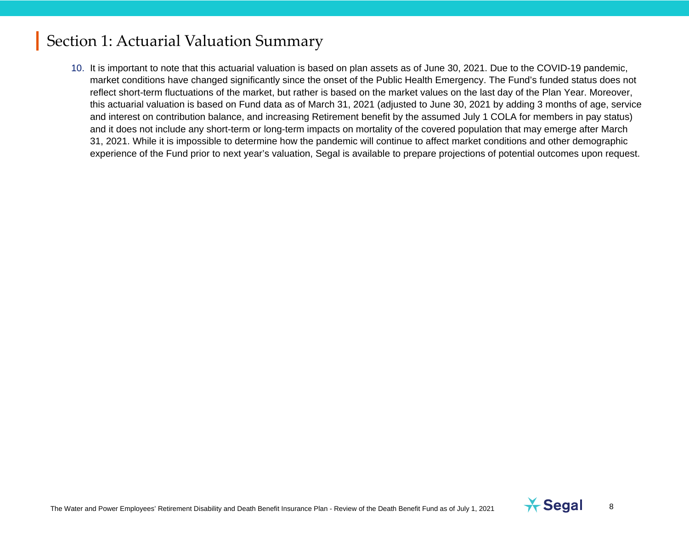10. It is important to note that this actuarial valuation is based on plan assets as of June 30, 2021. Due to the COVID-19 pandemic, market conditions have changed significantly since the onset of the Public Health Emergency. The Fund's funded status does not reflect short-term fluctuations of the market, but rather is based on the market values on the last day of the Plan Year. Moreover, this actuarial valuation is based on Fund data as of March 31, 2021 (adjusted to June 30, 2021 by adding 3 months of age, service and interest on contribution balance, and increasing Retirement benefit by the assumed July 1 COLA for members in pay status) and it does not include any short-term or long-term impacts on mortality of the covered population that may emerge after March 31, 2021. While it is impossible to determine how the pandemic will continue to affect market conditions and other demographic experience of the Fund prior to next year's valuation, Segal is available to prepare projections of potential outcomes upon request.

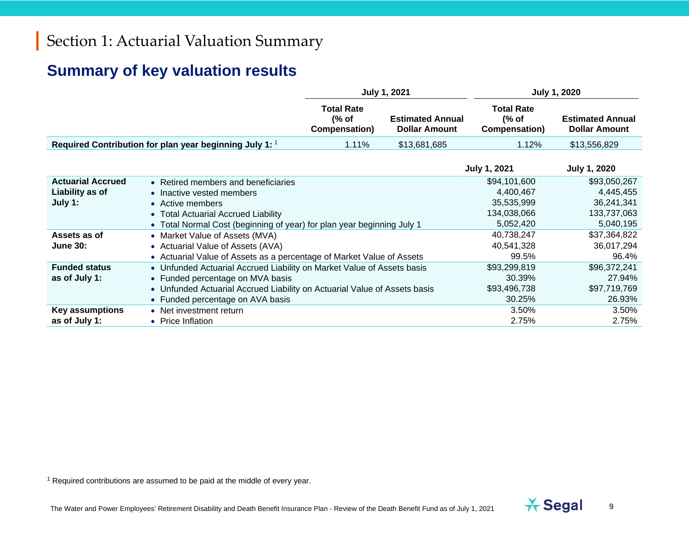## <span id="page-8-0"></span>**Summary of key valuation results**

|                                             |                                                                                                               | <b>July 1, 2021</b>                         |                                                 |                                             | <b>July 1, 2020</b>                             |
|---------------------------------------------|---------------------------------------------------------------------------------------------------------------|---------------------------------------------|-------------------------------------------------|---------------------------------------------|-------------------------------------------------|
|                                             |                                                                                                               | <b>Total Rate</b><br>(% of<br>Compensation) | <b>Estimated Annual</b><br><b>Dollar Amount</b> | <b>Total Rate</b><br>(% of<br>Compensation) | <b>Estimated Annual</b><br><b>Dollar Amount</b> |
|                                             | Required Contribution for plan year beginning July 1: 1                                                       | 1.11%                                       | \$13,681,685                                    | 1.12%                                       | \$13,556,829                                    |
|                                             |                                                                                                               |                                             |                                                 | <b>July 1, 2021</b>                         | <b>July 1, 2020</b>                             |
| <b>Actuarial Accrued</b><br>Liability as of | • Retired members and beneficiaries<br>• Inactive vested members                                              |                                             |                                                 | \$94,101,600<br>4,400,467                   | \$93,050,267<br>4,445,455                       |
| July 1:                                     | • Active members                                                                                              |                                             |                                                 | 35,535,999                                  | 36,241,341                                      |
|                                             | • Total Actuarial Accrued Liability<br>• Total Normal Cost (beginning of year) for plan year beginning July 1 |                                             |                                                 | 134,038,066<br>5,052,420                    | 133,737,063<br>5,040,195                        |
| Assets as of                                | • Market Value of Assets (MVA)                                                                                |                                             |                                                 | 40,738,247                                  | \$37,364,822                                    |
| <b>June 30:</b>                             | • Actuarial Value of Assets (AVA)                                                                             |                                             |                                                 | 40,541,328                                  | 36,017,294                                      |
|                                             | • Actuarial Value of Assets as a percentage of Market Value of Assets                                         |                                             |                                                 | 99.5%                                       | 96.4%                                           |
| <b>Funded status</b>                        | • Unfunded Actuarial Accrued Liability on Market Value of Assets basis                                        |                                             |                                                 | \$93,299,819                                | \$96,372,241                                    |
| as of July 1:                               | • Funded percentage on MVA basis                                                                              |                                             |                                                 | 30.39%                                      | 27.94%                                          |
|                                             | • Unfunded Actuarial Accrued Liability on Actuarial Value of Assets basis                                     |                                             |                                                 | \$93,496,738                                | \$97,719,769                                    |
|                                             | • Funded percentage on AVA basis                                                                              |                                             |                                                 | 30.25%                                      | 26.93%                                          |
| <b>Key assumptions</b>                      | • Net investment return                                                                                       |                                             |                                                 | 3.50%                                       | 3.50%                                           |
| as of July 1:                               | • Price Inflation                                                                                             |                                             |                                                 | 2.75%                                       | 2.75%                                           |

<sup>1</sup> Required contributions are assumed to be paid at the middle of every year.

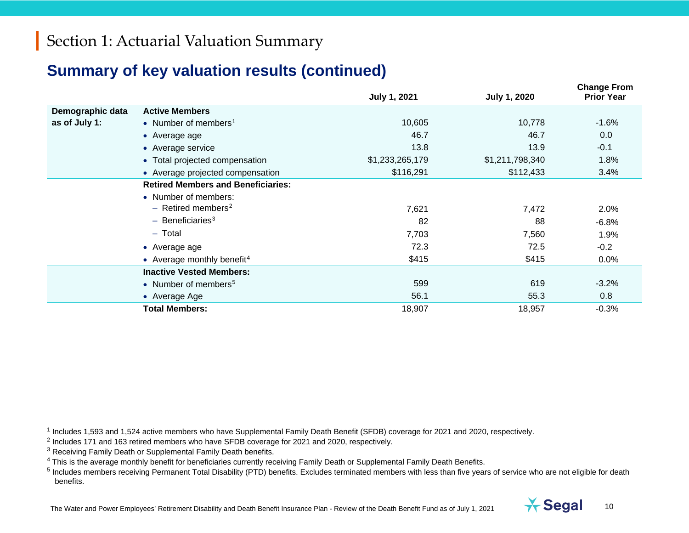#### <span id="page-9-4"></span><span id="page-9-3"></span><span id="page-9-2"></span><span id="page-9-1"></span><span id="page-9-0"></span>**Summary of key valuation results (continued)**

|                  |                                           | <b>July 1, 2021</b> | <b>July 1, 2020</b> | <b>Change From</b><br><b>Prior Year</b> |
|------------------|-------------------------------------------|---------------------|---------------------|-----------------------------------------|
| Demographic data | <b>Active Members</b>                     |                     |                     |                                         |
| as of July 1:    | • Number of members <sup>1</sup>          | 10,605              | 10,778              | $-1.6%$                                 |
|                  | • Average age                             | 46.7                | 46.7                | 0.0                                     |
|                  | • Average service                         | 13.8                | 13.9                | $-0.1$                                  |
|                  | • Total projected compensation            | \$1,233,265,179     | \$1,211,798,340     | 1.8%                                    |
|                  | • Average projected compensation          | \$116,291           | \$112,433           | 3.4%                                    |
|                  | <b>Retired Members and Beneficiaries:</b> |                     |                     |                                         |
|                  | • Number of members:                      |                     |                     |                                         |
|                  | $-$ Retired members <sup>2</sup>          | 7,621               | 7,472               | 2.0%                                    |
|                  | $-$ Beneficiaries <sup>3</sup>            | 82                  | 88                  | $-6.8%$                                 |
|                  | $-$ Total                                 | 7,703               | 7,560               | 1.9%                                    |
|                  | • Average age                             | 72.3                | 72.5                | $-0.2$                                  |
|                  | • Average monthly benefit <sup>4</sup>    | \$415               | \$415               | $0.0\%$                                 |
|                  | <b>Inactive Vested Members:</b>           |                     |                     |                                         |
|                  | • Number of members <sup>5</sup>          | 599                 | 619                 | $-3.2%$                                 |
|                  | • Average Age                             | 56.1                | 55.3                | 0.8                                     |
|                  | <b>Total Members:</b>                     | 18,907              | 18,957              | $-0.3%$                                 |

<sup>1</sup> Includes 1,593 and 1,524 active members who have Supplemental Family Death Benefit (SFDB) coverage for 2021 and 2020, respectively.

<sup>2</sup> Includes 171 and 163 retired members who have SFDB coverage for 2021 and 2020, respectively.

<sup>3</sup> Receiving Family Death or Supplemental Family Death benefits.

<sup>4</sup> This is the average monthly benefit for beneficiaries currently receiving Family Death or Supplemental Family Death Benefits.

 $5$  Includes members receiving Permanent Total Disability (PTD) benefits. Excludes terminated members with less than five years of service who are not eligible for death benefits.

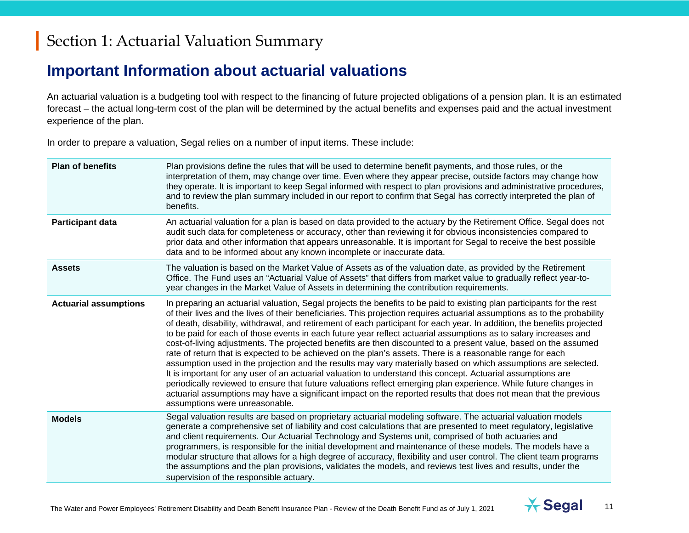#### **Important Information about actuarial valuations**

An actuarial valuation is a budgeting tool with respect to the financing of future projected obligations of a pension plan. It is an estimated forecast – the actual long-term cost of the plan will be determined by the actual benefits and expenses paid and the actual investment experience of the plan.

In order to prepare a valuation, Segal relies on a number of input items. These include:

| <b>Plan of benefits</b>      | Plan provisions define the rules that will be used to determine benefit payments, and those rules, or the<br>interpretation of them, may change over time. Even where they appear precise, outside factors may change how<br>they operate. It is important to keep Segal informed with respect to plan provisions and administrative procedures,<br>and to review the plan summary included in our report to confirm that Segal has correctly interpreted the plan of<br>benefits.                                                                                                                                                                                                                                                                                                                                                                                                                                                                                                                                                                                                                                                                                                                                                             |
|------------------------------|------------------------------------------------------------------------------------------------------------------------------------------------------------------------------------------------------------------------------------------------------------------------------------------------------------------------------------------------------------------------------------------------------------------------------------------------------------------------------------------------------------------------------------------------------------------------------------------------------------------------------------------------------------------------------------------------------------------------------------------------------------------------------------------------------------------------------------------------------------------------------------------------------------------------------------------------------------------------------------------------------------------------------------------------------------------------------------------------------------------------------------------------------------------------------------------------------------------------------------------------|
| Participant data             | An actuarial valuation for a plan is based on data provided to the actuary by the Retirement Office. Segal does not<br>audit such data for completeness or accuracy, other than reviewing it for obvious inconsistencies compared to<br>prior data and other information that appears unreasonable. It is important for Segal to receive the best possible<br>data and to be informed about any known incomplete or inaccurate data.                                                                                                                                                                                                                                                                                                                                                                                                                                                                                                                                                                                                                                                                                                                                                                                                           |
| <b>Assets</b>                | The valuation is based on the Market Value of Assets as of the valuation date, as provided by the Retirement<br>Office. The Fund uses an "Actuarial Value of Assets" that differs from market value to gradually reflect year-to-<br>year changes in the Market Value of Assets in determining the contribution requirements.                                                                                                                                                                                                                                                                                                                                                                                                                                                                                                                                                                                                                                                                                                                                                                                                                                                                                                                  |
| <b>Actuarial assumptions</b> | In preparing an actuarial valuation, Segal projects the benefits to be paid to existing plan participants for the rest<br>of their lives and the lives of their beneficiaries. This projection requires actuarial assumptions as to the probability<br>of death, disability, withdrawal, and retirement of each participant for each year. In addition, the benefits projected<br>to be paid for each of those events in each future year reflect actuarial assumptions as to salary increases and<br>cost-of-living adjustments. The projected benefits are then discounted to a present value, based on the assumed<br>rate of return that is expected to be achieved on the plan's assets. There is a reasonable range for each<br>assumption used in the projection and the results may vary materially based on which assumptions are selected.<br>It is important for any user of an actuarial valuation to understand this concept. Actuarial assumptions are<br>periodically reviewed to ensure that future valuations reflect emerging plan experience. While future changes in<br>actuarial assumptions may have a significant impact on the reported results that does not mean that the previous<br>assumptions were unreasonable. |
| <b>Models</b>                | Segal valuation results are based on proprietary actuarial modeling software. The actuarial valuation models<br>generate a comprehensive set of liability and cost calculations that are presented to meet regulatory, legislative<br>and client requirements. Our Actuarial Technology and Systems unit, comprised of both actuaries and<br>programmers, is responsible for the initial development and maintenance of these models. The models have a<br>modular structure that allows for a high degree of accuracy, flexibility and user control. The client team programs<br>the assumptions and the plan provisions, validates the models, and reviews test lives and results, under the<br>supervision of the responsible actuary.                                                                                                                                                                                                                                                                                                                                                                                                                                                                                                      |

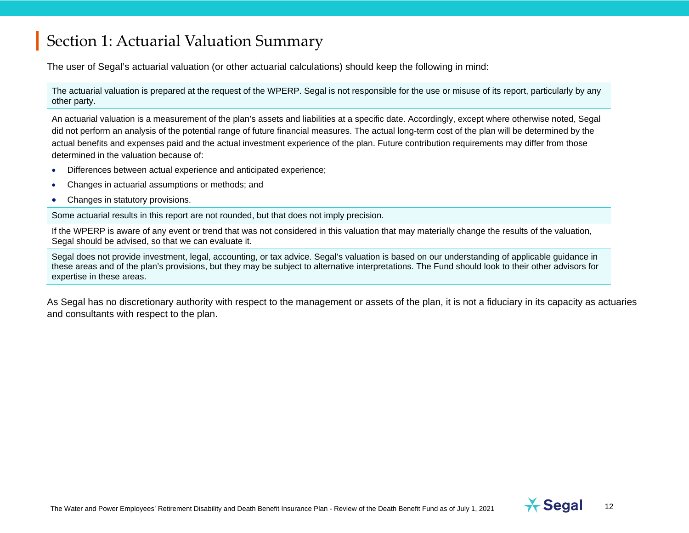The user of Segal's actuarial valuation (or other actuarial calculations) should keep the following in mind:

The actuarial valuation is prepared at the request of the WPERP. Segal is not responsible for the use or misuse of its report, particularly by any other party.

An actuarial valuation is a measurement of the plan's assets and liabilities at a specific date. Accordingly, except where otherwise noted, Segal did not perform an analysis of the potential range of future financial measures. The actual long-term cost of the plan will be determined by the actual benefits and expenses paid and the actual investment experience of the plan. Future contribution requirements may differ from those determined in the valuation because of:

- Differences between actual experience and anticipated experience;
- Changes in actuarial assumptions or methods; and
- Changes in statutory provisions.

Some actuarial results in this report are not rounded, but that does not imply precision.

If the WPERP is aware of any event or trend that was not considered in this valuation that may materially change the results of the valuation, Segal should be advised, so that we can evaluate it.

Segal does not provide investment, legal, accounting, or tax advice. Segal's valuation is based on our understanding of applicable guidance in these areas and of the plan's provisions, but they may be subject to alternative interpretations. The Fund should look to their other advisors for expertise in these areas.

As Segal has no discretionary authority with respect to the management or assets of the plan, it is not a fiduciary in its capacity as actuaries and consultants with respect to the plan.

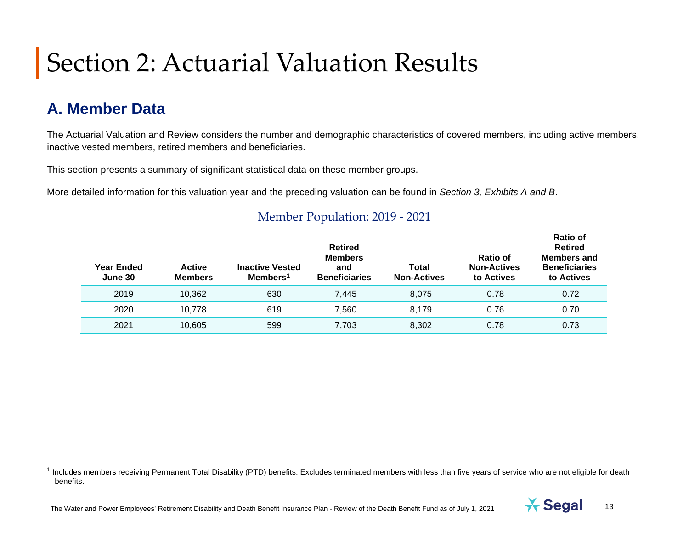## **A. Member Data**

The Actuarial Valuation and Review considers the number and demographic characteristics of covered members, including active members, inactive vested members, retired members and beneficiaries.

This section presents a summary of significant statistical data on these member groups.

More detailed information for this valuation year and the preceding valuation can be found in *Section 3, Exhibits A and B*.

| Year Ended<br>June 30 | <b>Active</b><br><b>Members</b> | <b>Inactive Vested</b><br>Members <sup>1</sup> | <b>Retired</b><br><b>Members</b><br>and<br><b>Beneficiaries</b> | Total<br><b>Non-Actives</b> | Ratio of<br><b>Non-Actives</b><br>to Actives | ו שווא<br><b>Retired</b><br><b>Members and</b><br><b>Beneficiaries</b><br>to Actives |
|-----------------------|---------------------------------|------------------------------------------------|-----------------------------------------------------------------|-----------------------------|----------------------------------------------|--------------------------------------------------------------------------------------|
| 2019                  | 10,362                          | 630                                            | 7,445                                                           | 8,075                       | 0.78                                         | 0.72                                                                                 |
| 2020                  | 10.778                          | 619                                            | 7.560                                                           | 8.179                       | 0.76                                         | 0.70                                                                                 |
| 2021                  | 10,605                          | 599                                            | 7,703                                                           | 8,302                       | 0.78                                         | 0.73                                                                                 |

#### Member Population: 2019 - [2021](#page--1-0)

<sup>1</sup> Includes members receiving Permanent Total Disability (PTD) benefits. Excludes terminated members with less than five years of service who are not eligible for death benefits.



<span id="page-12-0"></span>**Ratio of**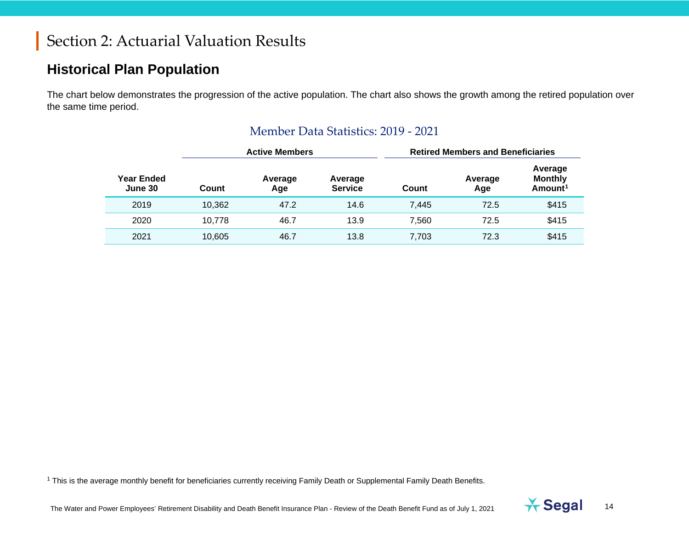#### **Historical Plan Population**

The chart below demonstrates the progression of the active population. The chart also shows the growth among the retired population over the same time period.

|                              | <b>Active Members</b> |                |                           | <b>Retired Members and Beneficiaries</b> |                |                                                  |
|------------------------------|-----------------------|----------------|---------------------------|------------------------------------------|----------------|--------------------------------------------------|
| <b>Year Ended</b><br>June 30 | Count                 | Average<br>Age | Average<br><b>Service</b> | Count                                    | Average<br>Age | Average<br><b>Monthly</b><br>Amount <sup>1</sup> |
| 2019                         | 10.362                | 47.2           | 14.6                      | 7.445                                    | 72.5           | \$415                                            |
| 2020                         | 10,778                | 46.7           | 13.9                      | 7.560                                    | 72.5           | \$415                                            |
| 2021                         | 10,605                | 46.7           | 13.8                      | 7,703                                    | 72.3           | \$415                                            |

#### <span id="page-13-0"></span>Member Data Statistics: 2019 - [2021](#page--1-0)

<sup>1</sup> This is the average monthly benefit for beneficiaries currently receiving Family Death or Supplemental Family Death Benefits.

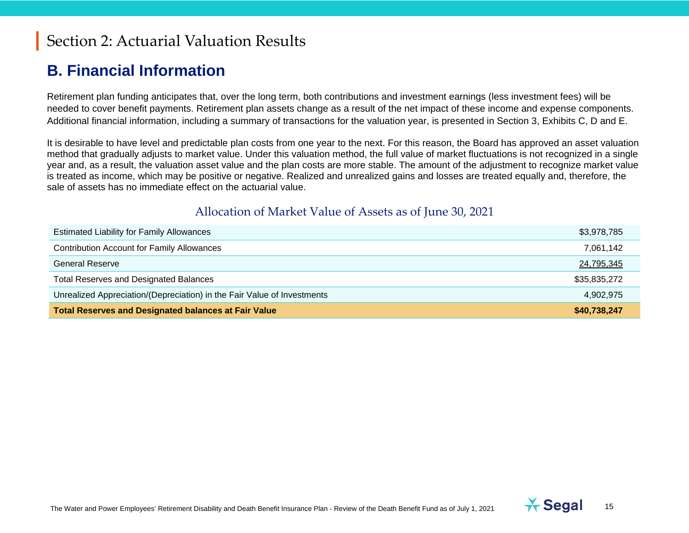#### **B. Financial Information**

Retirement plan funding anticipates that, over the long term, both contributions and investment earnings (less investment fees) will be needed to cover benefit payments. Retirement plan assets change as a result of the net impact of these income and expense components. Additional financial information, including a summary of transactions for the valuation year, is presented in Section 3, Exhibits C, D and E.

It is desirable to have level and predictable plan costs from one year to the next. For this reason, the Board has approved an asset valuation method that gradually adjusts to market value. Under this valuation method, the full value of market fluctuations is not recognized in a single year and, as a result, the valuation asset value and the plan costs are more stable. The amount of the adjustment to recognize market value is treated as income, which may be positive or negative. Realized and unrealized gains and losses are treated equally and, therefore, the sale of assets has no immediate effect on the actuarial value.

#### Allocation of Market Value of Assets as of June 30, [2021](#page--1-0)

| <b>Estimated Liability for Family Allowances</b>                        | \$3,978,785  |
|-------------------------------------------------------------------------|--------------|
| <b>Contribution Account for Family Allowances</b>                       | 7,061,142    |
| General Reserve                                                         | 24,795,345   |
| <b>Total Reserves and Designated Balances</b>                           | \$35,835,272 |
| Unrealized Appreciation/(Depreciation) in the Fair Value of Investments | 4,902,975    |
| <b>Total Reserves and Designated balances at Fair Value</b>             | \$40,738,247 |

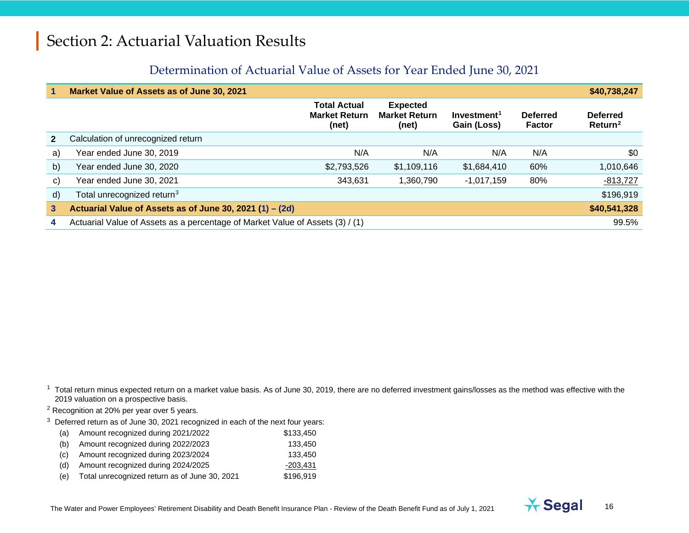#### <span id="page-15-2"></span><span id="page-15-1"></span><span id="page-15-0"></span>Determination of Actuarial Value of Assets for Year Ended June 30, [2021](#page--1-0)

| 1            | Market Value of Assets as of June 30, 2021                                    |                                                      |                                                  |                                        |                           | \$40,738,247                           |
|--------------|-------------------------------------------------------------------------------|------------------------------------------------------|--------------------------------------------------|----------------------------------------|---------------------------|----------------------------------------|
|              |                                                                               | <b>Total Actual</b><br><b>Market Return</b><br>(net) | <b>Expected</b><br><b>Market Return</b><br>(net) | Investment <sup>1</sup><br>Gain (Loss) | <b>Deferred</b><br>Factor | <b>Deferred</b><br>Return <sup>2</sup> |
| $\mathbf{2}$ | Calculation of unrecognized return                                            |                                                      |                                                  |                                        |                           |                                        |
| a)           | Year ended June 30, 2019                                                      | N/A                                                  | N/A                                              | N/A                                    | N/A                       | \$0                                    |
| b)           | Year ended June 30, 2020                                                      | \$2,793,526                                          | \$1,109,116                                      | \$1,684,410                            | 60%                       | 1,010,646                              |
| $\mathbf{C}$ | Year ended June 30, 2021                                                      | 343,631                                              | 1,360,790                                        | $-1,017,159$                           | 80%                       | $-813,727$                             |
| d)           | Total unrecognized return <sup>3</sup>                                        |                                                      |                                                  |                                        |                           | \$196,919                              |
| $\mathbf{3}$ | Actuarial Value of Assets as of June 30, 2021 (1) - (2d)                      |                                                      |                                                  |                                        |                           | \$40,541,328                           |
| 4            | Actuarial Value of Assets as a percentage of Market Value of Assets (3) / (1) |                                                      |                                                  |                                        |                           | 99.5%                                  |

 $1$  Total return minus expected return on a market value basis. As of June 30, 2019, there are no deferred investment gains/losses as the method was effective with the 2019 valuation on a prospective basis.

<sup>2</sup> Recognition at 20% per year over 5 years.

 $3$  Deferred return as of June 30, [2021](#page--1-0) recognized in each of the next four years:

| (a) | Amount recognized during 2021/2022 | \$133.450 |
|-----|------------------------------------|-----------|
| (b) | Amount recognized during 2022/2023 | 133.450   |
| (C) | Amount recognized during 2023/2024 | 133.450   |
| (d) | Amount recognized during 2024/2025 | -203.431  |

(e) Total unrecognized return as of June 30, [2021](#page--1-0) \$196,919

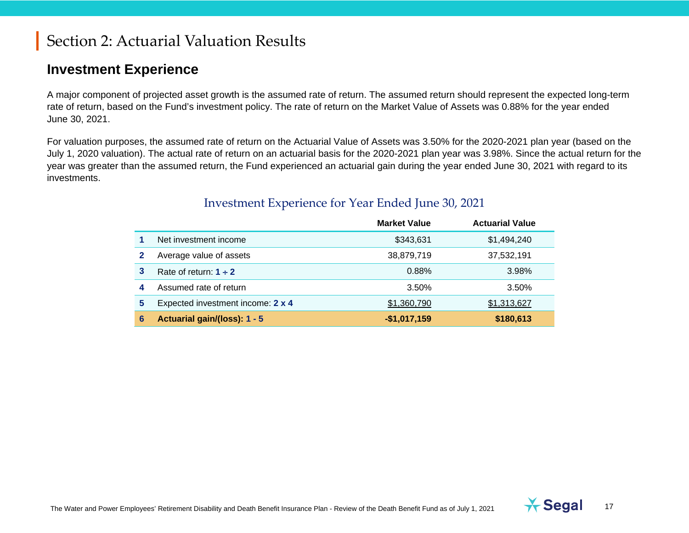#### **Investment Experience**

A major component of projected asset growth is the assumed rate of return. The assumed return should represent the expected long-term rate of return, based on the Fund's investment policy. The rate of return on the Market Value of Assets was 0.88% for the year ended June 30, 2021.

For valuation purposes, the assumed rate of return on the Actuarial Value of Assets was 3.50% for the [2020-](#page--1-3)2021 plan year (based on the July 1, [2020](#page--1-3) valuation). The actual rate of return on an actuarial basis for the [2020-](#page--1-3)2021 plan year was 3.98%. Since the actual return for the year was greater than the assumed return, the Fund experienced an actuarial gain during the year ended June 30, 2021 with regard to its investments.

|   |                                   | <b>Market Value</b> | <b>Actuarial Value</b> |
|---|-----------------------------------|---------------------|------------------------|
|   | Net investment income             | \$343,631           | \$1,494,240            |
| 2 | Average value of assets           | 38,879,719          | 37,532,191             |
| 3 | Rate of return: $1 \div 2$        | 0.88%               | 3.98%                  |
| 4 | Assumed rate of return            | 3.50%               | 3.50%                  |
| 5 | Expected investment income: 2 x 4 | \$1,360,790         | \$1,313,627            |
| 6 | Actuarial gain/(loss): 1 - 5      | $-$1,017,159$       | \$180,613              |

#### Investment Experience for Year Ended June 30, 2021

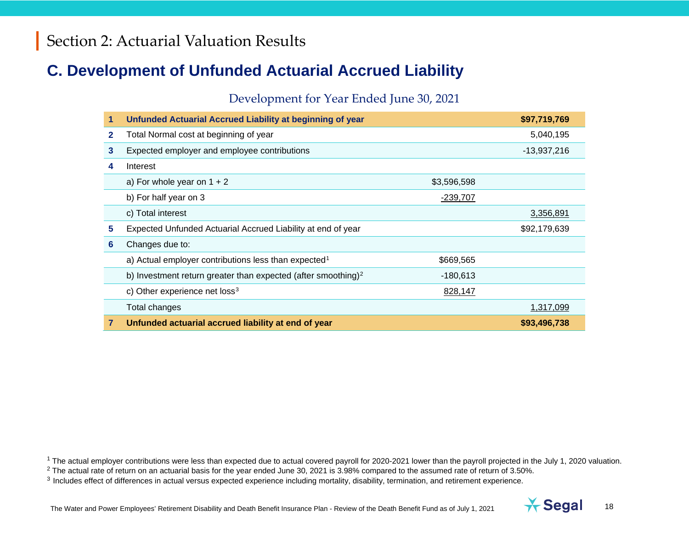## **C. Development of Unfunded Actuarial Accrued Liability**

#### <span id="page-17-2"></span><span id="page-17-1"></span><span id="page-17-0"></span>Development for Year Ended June 30, 2021

|              | Unfunded Actuarial Accrued Liability at beginning of year                 |                 | \$97,719,769  |
|--------------|---------------------------------------------------------------------------|-----------------|---------------|
| $\mathbf{2}$ | Total Normal cost at beginning of year                                    |                 | 5,040,195     |
| 3            | Expected employer and employee contributions                              |                 | $-13,937,216$ |
| 4            | Interest                                                                  |                 |               |
|              | a) For whole year on $1 + 2$                                              | \$3,596,598     |               |
|              | b) For half year on 3                                                     | <u>-239,707</u> |               |
|              | c) Total interest                                                         |                 | 3,356,891     |
| 5            | Expected Unfunded Actuarial Accrued Liability at end of year              |                 | \$92,179,639  |
| 6            | Changes due to:                                                           |                 |               |
|              | a) Actual employer contributions less than expected <sup>1</sup>          | \$669,565       |               |
|              | b) Investment return greater than expected (after smoothing) <sup>2</sup> | $-180,613$      |               |
|              | c) Other experience net loss <sup>3</sup>                                 | 828,147         |               |
|              | Total changes                                                             |                 | 1,317,099     |
| 7            | Unfunded actuarial accrued liability at end of year                       |                 | \$93,496,738  |

<sup>1</sup> The actual employer contributions were less than expected due to actual covered payroll for 2020-2021 lower than the payroll projected in the July 1, 2020 valuation.

 $2$  The actual rate of return on an actuarial basis for the year ended June 30, 2021 is 3.98% compared to the assumed rate of return of 3.50%.

<sup>3</sup> Includes effect of differences in actual versus expected experience including mortality, disability, termination, and retirement experience.

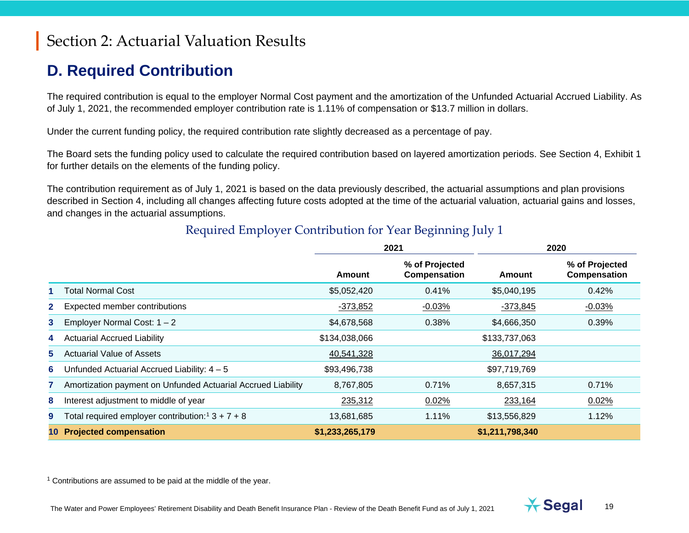## **D. Required Contribution**

The required contribution is equal to the employer Normal Cost payment and the amortization of the Unfunded Actuarial Accrued Liability. As of July 1, 2021, the recommended employer contribution rate is 1.11% of compensation or \$13.7 million in dollars.

Under the current funding policy, the required contribution rate slightly decreased as a percentage of pay.

The Board sets the funding policy used to calculate the required contribution based on layered amortization periods. See Section 4, Exhibit 1 for further details on the elements of the funding policy.

The contribution requirement as of July 1, 2021 is based on the data previously described, the actuarial assumptions and plan provisions described in Section 4, including all changes affecting future costs adopted at the time of the actuarial valuation, actuarial gains and losses, and changes in the actuarial assumptions.

|                |                                                                | 2021            |                                       |                 | 2020                           |
|----------------|----------------------------------------------------------------|-----------------|---------------------------------------|-----------------|--------------------------------|
|                |                                                                | Amount          | % of Projected<br><b>Compensation</b> | Amount          | % of Projected<br>Compensation |
|                | <b>Total Normal Cost</b>                                       | \$5,052,420     | 0.41%                                 | \$5,040,195     | 0.42%                          |
| 2 <sup>1</sup> | Expected member contributions                                  | $-373,852$      | $-0.03%$                              | $-373,845$      | $-0.03%$                       |
| 3              | Employer Normal Cost: $1 - 2$                                  | \$4,678,568     | 0.38%                                 | \$4,666,350     | 0.39%                          |
| 4              | <b>Actuarial Accrued Liability</b>                             | \$134,038,066   |                                       | \$133,737,063   |                                |
| 5.             | <b>Actuarial Value of Assets</b>                               | 40,541,328      |                                       | 36,017,294      |                                |
| 6              | Unfunded Actuarial Accrued Liability: $4 - 5$                  | \$93,496,738    |                                       | \$97,719,769    |                                |
|                | Amortization payment on Unfunded Actuarial Accrued Liability   | 8,767,805       | 0.71%                                 | 8,657,315       | 0.71%                          |
| 8              | Interest adjustment to middle of year                          | 235,312         | 0.02%                                 | 233,164         | 0.02%                          |
| 9              | Total required employer contribution: <sup>1</sup> $3 + 7 + 8$ | 13,681,685      | 1.11%                                 | \$13,556,829    | 1.12%                          |
|                | <b>Projected compensation</b>                                  | \$1,233,265,179 |                                       | \$1,211,798,340 |                                |

#### <span id="page-18-0"></span>Required Employer Contribution for Year Beginning July 1

 $1$  Contributions are assumed to be paid at the middle of the year.

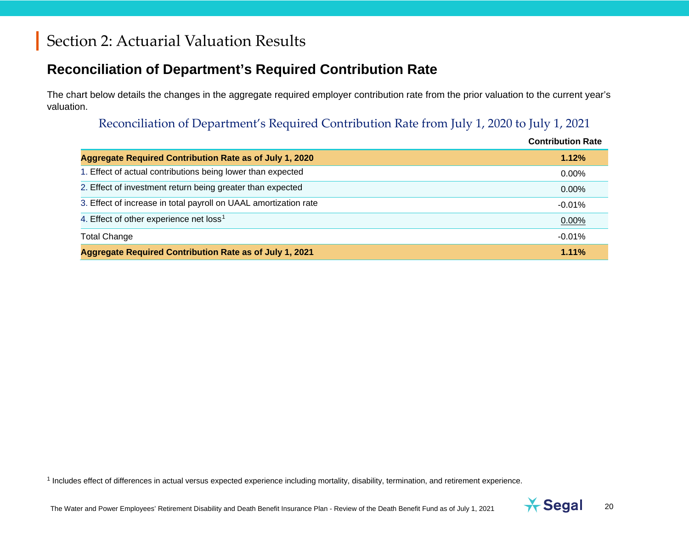#### **Reconciliation of Department's Required Contribution Rate**

The chart below details the changes in the aggregate required employer contribution rate from the prior valuation to the current year's valuation.

#### <span id="page-19-0"></span>Reconciliation of Department's Required Contribution Rate from July 1, [2020](#page--1-3) to July 1, 2021

|                                                                  | <b>Contribution Rate</b> |
|------------------------------------------------------------------|--------------------------|
| <b>Aggregate Required Contribution Rate as of July 1, 2020</b>   | 1.12%                    |
| 1. Effect of actual contributions being lower than expected      | 0.00%                    |
| 2. Effect of investment return being greater than expected       | $0.00\%$                 |
| 3. Effect of increase in total payroll on UAAL amortization rate | $-0.01\%$                |
| 4. Effect of other experience net loss <sup>1</sup>              | 0.00%                    |
| <b>Total Change</b>                                              | $-0.01\%$                |
| Aggregate Required Contribution Rate as of July 1, 2021          | 1.11%                    |

<sup>1</sup> Includes effect of differences in actual versus expected experience including mortality, disability, termination, and retirement experience.

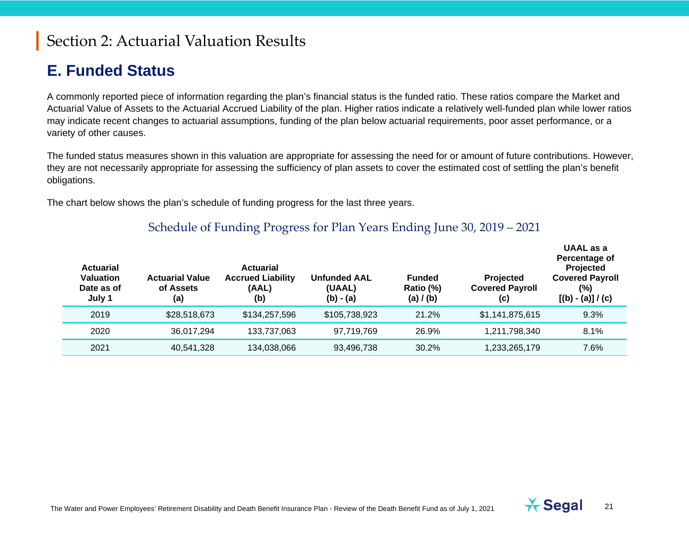#### **E. Funded Status**

A commonly reported piece of information regarding the plan's financial status is the funded ratio. These ratios compare the Market and Actuarial Value of Assets to the Actuarial Accrued Liability of the plan. Higher ratios indicate a relatively well-funded plan while lower ratios may indicate recent changes to actuarial assumptions, funding of the plan below actuarial requirements, poor asset performance, or a variety of other causes.

The funded status measures shown in this valuation are appropriate for assessing the need for or amount of future contributions. However, they are not necessarily appropriate for assessing the sufficiency of plan assets to cover the estimated cost of settling the plan's benefit obligations.

The chart below shows the plan's schedule of funding progress for the last three years.

#### Schedule of Funding Progress for Plan Years Ending June 30, 2019 – 2021

| <b>Actuarial</b><br><b>Valuation</b><br>Date as of<br>July 1 | <b>Actuarial Value</b><br>of Assets<br>(a) | <b>Actuarial</b><br><b>Accrued Liability</b><br>(AAL)<br>(b) | <b>Unfunded AAL</b><br>(UAAL)<br>$(b) - (a)$ | <b>Funded</b><br>Ratio (%)<br>(a) $/$ (b) | <b>Projected</b><br><b>Covered Payroll</b><br>(c) | UAAL as a<br>Percentage of<br>Projected<br><b>Covered Payroll</b><br>(%)<br>$[(b) - (a)] / (c)$ |
|--------------------------------------------------------------|--------------------------------------------|--------------------------------------------------------------|----------------------------------------------|-------------------------------------------|---------------------------------------------------|-------------------------------------------------------------------------------------------------|
| 2019                                                         | \$28,518,673                               | \$134,257,596                                                | \$105,738,923                                | 21.2%                                     | \$1,141,875,615                                   | 9.3%                                                                                            |
| 2020                                                         | 36.017.294                                 | 133,737,063                                                  | 97,719,769                                   | 26.9%                                     | 1,211,798,340                                     | 8.1%                                                                                            |
| 2021                                                         | 40,541,328                                 | 134,038,066                                                  | 93,496,738                                   | 30.2%                                     | 1,233,265,179                                     | 7.6%                                                                                            |



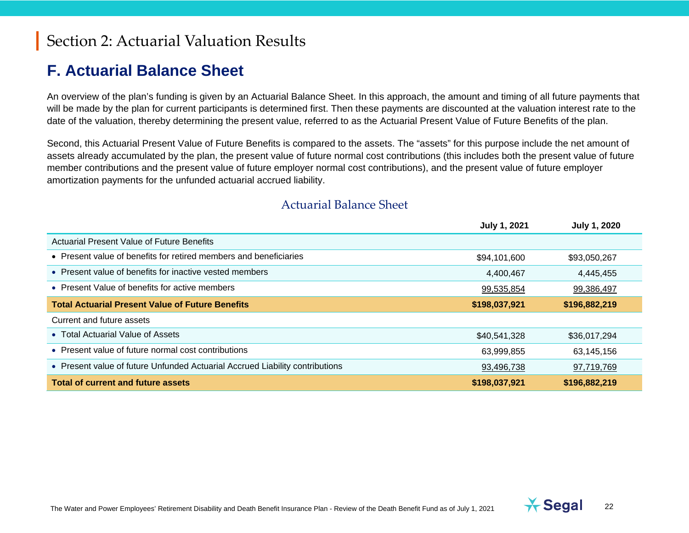#### **F. Actuarial Balance Sheet**

An overview of the plan's funding is given by an Actuarial Balance Sheet. In this approach, the amount and timing of all future payments that will be made by the plan for current participants is determined first. Then these payments are discounted at the valuation interest rate to the date of the valuation, thereby determining the present value, referred to as the Actuarial Present Value of Future Benefits of the plan.

Second, this Actuarial Present Value of Future Benefits is compared to the assets. The "assets" for this purpose include the net amount of assets already accumulated by the plan, the present value of future normal cost contributions (this includes both the present value of future member contributions and the present value of future employer normal cost contributions), and the present value of future employer amortization payments for the unfunded actuarial accrued liability.

|                                                                              | <b>July 1, 2021</b> | <b>July 1, 2020</b> |
|------------------------------------------------------------------------------|---------------------|---------------------|
| <b>Actuarial Present Value of Future Benefits</b>                            |                     |                     |
| • Present value of benefits for retired members and beneficiaries            | \$94,101,600        | \$93,050,267        |
| • Present value of benefits for inactive vested members                      | 4,400,467           | 4,445,455           |
| • Present Value of benefits for active members                               | 99,535,854          | 99,386,497          |
| <b>Total Actuarial Present Value of Future Benefits</b>                      | \$198,037,921       | \$196,882,219       |
| Current and future assets                                                    |                     |                     |
| • Total Actuarial Value of Assets                                            | \$40,541,328        | \$36,017,294        |
| • Present value of future normal cost contributions                          | 63,999,855          | 63,145,156          |
| • Present value of future Unfunded Actuarial Accrued Liability contributions | 93,496,738          | 97,719,769          |
| <b>Total of current and future assets</b>                                    | \$198,037,921       | \$196,882,219       |

#### Actuarial Balance Sheet



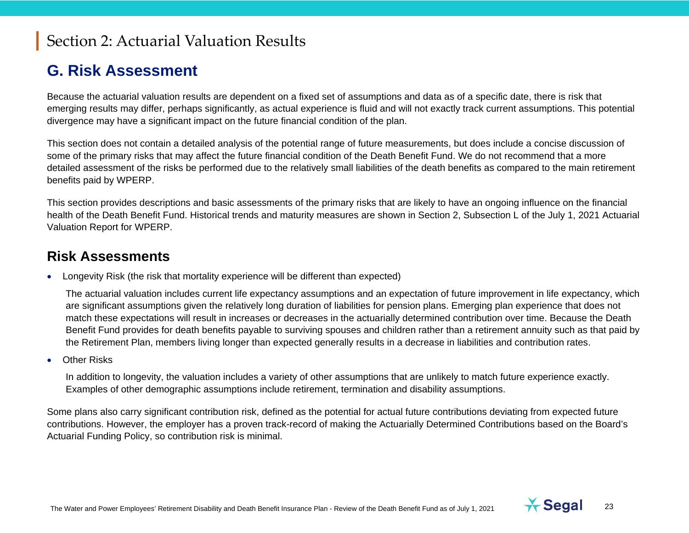#### **G. Risk Assessment**

Because the actuarial valuation results are dependent on a fixed set of assumptions and data as of a specific date, there is risk that emerging results may differ, perhaps significantly, as actual experience is fluid and will not exactly track current assumptions. This potential divergence may have a significant impact on the future financial condition of the plan.

This section does not contain a detailed analysis of the potential range of future measurements, but does include a concise discussion of some of the primary risks that may affect the future financial condition of the Death Benefit Fund. We do not recommend that a more detailed assessment of the risks be performed due to the relatively small liabilities of the death benefits as compared to the main retirement benefits paid by WPERP.

This section provides descriptions and basic assessments of the primary risks that are likely to have an ongoing influence on the financial health of the Death Benefit Fund. Historical trends and maturity measures are shown in Section 2, Subsection L of the July 1, 2021 Actuarial Valuation Report for WPERP.

#### **Risk Assessments**

• Longevity Risk (the risk that mortality experience will be different than expected)

The actuarial valuation includes current life expectancy assumptions and an expectation of future improvement in life expectancy, which are significant assumptions given the relatively long duration of liabilities for pension plans. Emerging plan experience that does not match these expectations will result in increases or decreases in the actuarially determined contribution over time. Because the Death Benefit Fund provides for death benefits payable to surviving spouses and children rather than a retirement annuity such as that paid by the Retirement Plan, members living longer than expected generally results in a decrease in liabilities and contribution rates.

**Other Risks** 

In addition to longevity, the valuation includes a variety of other assumptions that are unlikely to match future experience exactly. Examples of other demographic assumptions include retirement, termination and disability assumptions.

Some plans also carry significant contribution risk, defined as the potential for actual future contributions deviating from expected future contributions. However, the employer has a proven track-record of making the Actuarially Determined Contributions based on the Board's Actuarial Funding Policy, so contribution risk is minimal.

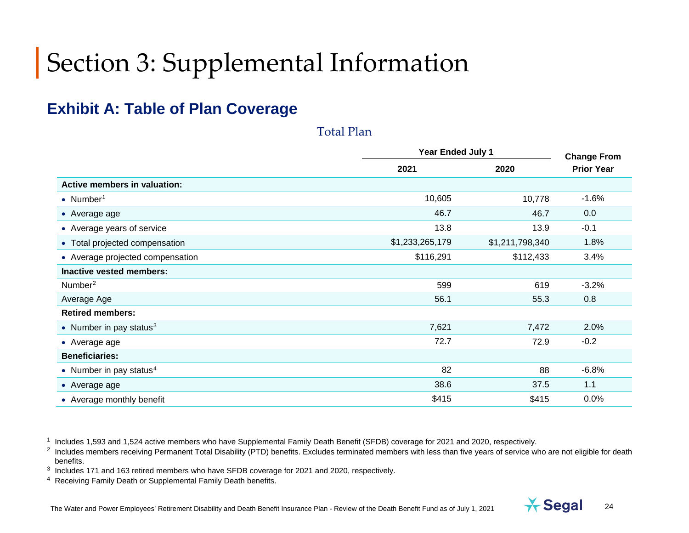#### **Exhibit A: Table of Plan Coverage**

|                                  |                 | Year Ended July 1 |                                         |  |
|----------------------------------|-----------------|-------------------|-----------------------------------------|--|
|                                  | 2021            | 2020              | <b>Change From</b><br><b>Prior Year</b> |  |
| Active members in valuation:     |                 |                   |                                         |  |
| • Number <sup>1</sup>            | 10,605          | 10,778            | $-1.6%$                                 |  |
| • Average age                    | 46.7            | 46.7              | 0.0                                     |  |
| • Average years of service       | 13.8            | 13.9              | $-0.1$                                  |  |
| • Total projected compensation   | \$1,233,265,179 | \$1,211,798,340   | 1.8%                                    |  |
| • Average projected compensation | \$116,291       | \$112,433         | 3.4%                                    |  |
| Inactive vested members:         |                 |                   |                                         |  |
| Number <sup>2</sup>              | 599             | 619               | $-3.2%$                                 |  |
| Average Age                      | 56.1            | 55.3              | 0.8                                     |  |
| <b>Retired members:</b>          |                 |                   |                                         |  |
| • Number in pay status $3$       | 7,621           | 7,472             | 2.0%                                    |  |
| • Average age                    | 72.7            | 72.9              | $-0.2$                                  |  |
| <b>Beneficiaries:</b>            |                 |                   |                                         |  |
| • Number in pay status $4$       | 82              | 88                | $-6.8%$                                 |  |
| • Average age                    | 38.6            | 37.5              | 1.1                                     |  |
| • Average monthly benefit        | \$415           | \$415             | 0.0%                                    |  |

<span id="page-23-3"></span><span id="page-23-2"></span><span id="page-23-1"></span><span id="page-23-0"></span>Total Plan

<sup>1</sup> Includes 1,593 and 1,524 active members who have Supplemental Family Death Benefit (SFDB) coverage for 2021 and [2020,](#page--1-3) respectively.



<sup>&</sup>lt;sup>2</sup> Includes members receiving Permanent Total Disability (PTD) benefits. Excludes terminated members with less than five years of service who are not eligible for death benefits.

<sup>3</sup> Includes 171 and 163 retired members who have SFDB coverage for 2021 an[d 2020,](#page--1-3) respectively.

<sup>4</sup> Receiving Family Death or Supplemental Family Death benefits.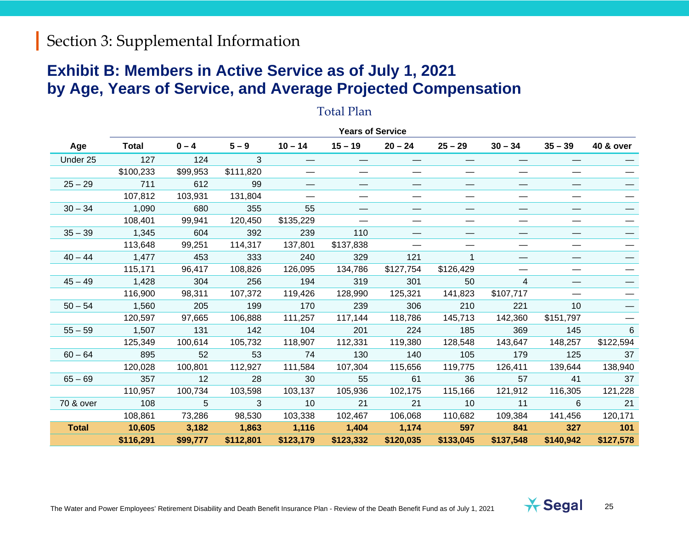#### **Exhibit B: Members in Active Service as of July 1, 2021 by Age, Years of Service, and Average Projected Compensation**

#### Total Plan

|              |              |          |           |           | <b>Years of Service</b>  |           |           |                   |           |           |
|--------------|--------------|----------|-----------|-----------|--------------------------|-----------|-----------|-------------------|-----------|-----------|
| Age          | <b>Total</b> | $0 - 4$  | $5 - 9$   | $10 - 14$ | $15 - 19$                | $20 - 24$ | $25 - 29$ | $30 - 34$         | $35 - 39$ | 40 & over |
| Under 25     | 127          | 124      | 3         |           |                          |           |           |                   |           |           |
|              | \$100,233    | \$99,953 | \$111,820 |           |                          |           |           |                   |           |           |
| $25 - 29$    | 711          | 612      | 99        |           | $\hspace{0.05cm}$        |           |           | $\hspace{0.05cm}$ |           |           |
|              | 107,812      | 103,931  | 131,804   |           |                          |           |           | —                 |           |           |
| $30 - 34$    | 1,090        | 680      | 355       | 55        | $\overline{\phantom{0}}$ |           | —         |                   |           |           |
|              | 108,401      | 99,941   | 120,450   | \$135,229 |                          |           |           |                   |           |           |
| $35 - 39$    | 1,345        | 604      | 392       | 239       | 110                      |           |           |                   |           |           |
|              | 113,648      | 99,251   | 114,317   | 137,801   | \$137,838                |           |           |                   |           |           |
| $40 - 44$    | 1,477        | 453      | 333       | 240       | 329                      | 121       |           |                   |           |           |
|              | 115,171      | 96,417   | 108,826   | 126,095   | 134,786                  | \$127,754 | \$126,429 |                   |           |           |
| $45 - 49$    | 1,428        | 304      | 256       | 194       | 319                      | 301       | 50        | 4                 |           |           |
|              | 116,900      | 98,311   | 107,372   | 119,426   | 128,990                  | 125,321   | 141,823   | \$107,717         |           |           |
| $50 - 54$    | 1,560        | 205      | 199       | 170       | 239                      | 306       | 210       | 221               | 10        |           |
|              | 120,597      | 97,665   | 106,888   | 111,257   | 117,144                  | 118,786   | 145,713   | 142,360           | \$151,797 |           |
| $55 - 59$    | 1,507        | 131      | 142       | 104       | 201                      | 224       | 185       | 369               | 145       | 6         |
|              | 125,349      | 100,614  | 105,732   | 118,907   | 112,331                  | 119,380   | 128,548   | 143,647           | 148,257   | \$122,594 |
| $60 - 64$    | 895          | 52       | 53        | 74        | 130                      | 140       | 105       | 179               | 125       | 37        |
|              | 120,028      | 100,801  | 112,927   | 111,584   | 107,304                  | 115,656   | 119,775   | 126,411           | 139,644   | 138,940   |
| $65 - 69$    | 357          | 12       | 28        | 30        | 55                       | 61        | 36        | 57                | 41        | 37        |
|              | 110,957      | 100,734  | 103,598   | 103,137   | 105,936                  | 102,175   | 115,166   | 121,912           | 116,305   | 121,228   |
| 70 & over    | 108          | 5        | 3         | 10        | 21                       | 21        | 10        | 11                | 6         | 21        |
|              | 108,861      | 73,286   | 98,530    | 103,338   | 102,467                  | 106,068   | 110,682   | 109,384           | 141,456   | 120,171   |
| <b>Total</b> | 10,605       | 3,182    | 1,863     | 1,116     | 1,404                    | 1,174     | 597       | 841               | 327       | 101       |
|              | \$116,291    | \$99,777 | \$112,801 | \$123,179 | \$123,332                | \$120,035 | \$133,045 | \$137,548         | \$140,942 | \$127,578 |

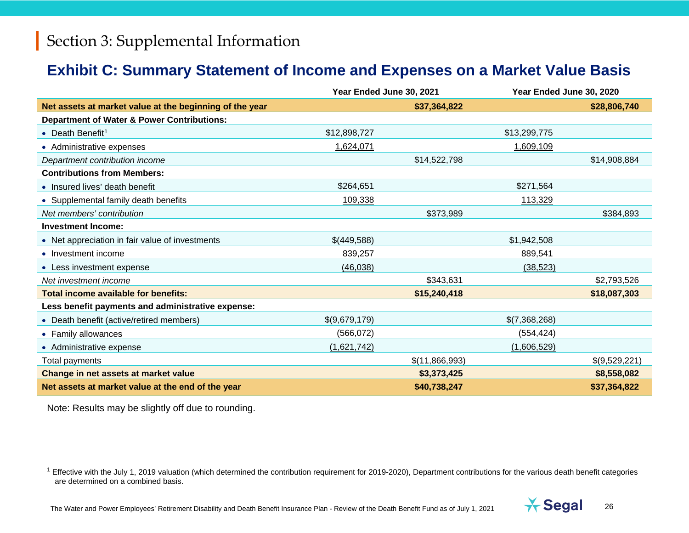#### <span id="page-25-0"></span>**Exhibit C: Summary Statement of Income and Expenses on a Market Value Basis**

|                                                         | Year Ended June 30, 2021 |                | Year Ended June 30, 2020 |               |
|---------------------------------------------------------|--------------------------|----------------|--------------------------|---------------|
| Net assets at market value at the beginning of the year |                          | \$37,364,822   |                          | \$28,806,740  |
| <b>Department of Water &amp; Power Contributions:</b>   |                          |                |                          |               |
| • Death Benefit <sup>1</sup>                            | \$12,898,727             |                | \$13,299,775             |               |
| • Administrative expenses                               | 1,624,071                |                | 1,609,109                |               |
| Department contribution income                          |                          | \$14,522,798   |                          | \$14,908,884  |
| <b>Contributions from Members:</b>                      |                          |                |                          |               |
| • Insured lives' death benefit                          | \$264,651                |                | \$271,564                |               |
| • Supplemental family death benefits                    | 109,338                  |                | 113,329                  |               |
| Net members' contribution                               |                          | \$373,989      |                          | \$384,893     |
| <b>Investment Income:</b>                               |                          |                |                          |               |
| • Net appreciation in fair value of investments         | \$(449,588)              |                | \$1,942,508              |               |
| • Investment income                                     | 839,257                  |                | 889,541                  |               |
| • Less investment expense                               | (46, 038)                |                | (38, 523)                |               |
| Net investment income                                   |                          | \$343,631      |                          | \$2,793,526   |
| Total income available for benefits:                    |                          | \$15,240,418   |                          | \$18,087,303  |
| Less benefit payments and administrative expense:       |                          |                |                          |               |
| • Death benefit (active/retired members)                | \$(9,679,179)            |                | \$(7,368,268)            |               |
| • Family allowances                                     | (566, 072)               |                | (554, 424)               |               |
| • Administrative expense                                | (1,621,742)              |                | (1,606,529)              |               |
| Total payments                                          |                          | \$(11,866,993) |                          | \$(9,529,221) |
| Change in net assets at market value                    |                          | \$3,373,425    |                          | \$8,558,082   |
| Net assets at market value at the end of the year       |                          | \$40,738,247   |                          | \$37,364,822  |

Note: Results may be slightly off due to rounding.



 $1$  Effective with the July 1, 2019 valuation (which determined the contribution requirement for 2019-2020), Department contributions for the various death benefit categories are determined on a combined basis.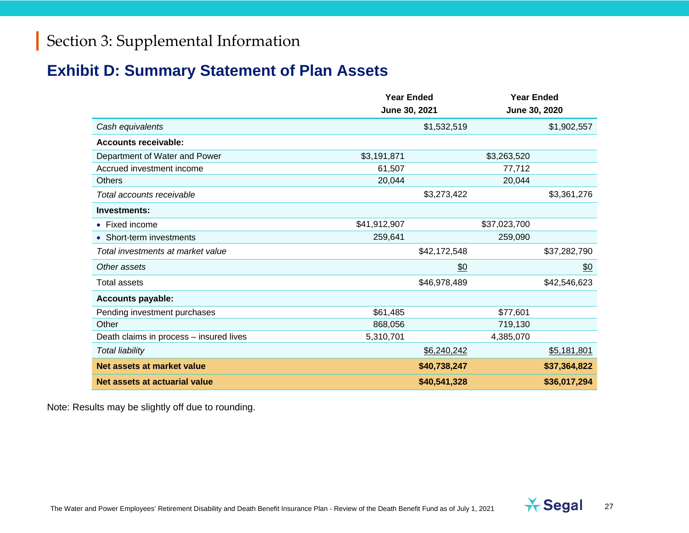#### **Exhibit D: Summary Statement of Plan Assets**

|                                         | <b>Year Ended</b><br>June 30, 2021 |              | <b>Year Ended</b><br>June 30, 2020 |              |
|-----------------------------------------|------------------------------------|--------------|------------------------------------|--------------|
| Cash equivalents                        |                                    | \$1,532,519  |                                    | \$1,902,557  |
| <b>Accounts receivable:</b>             |                                    |              |                                    |              |
| Department of Water and Power           | \$3,191,871                        |              | \$3,263,520                        |              |
| Accrued investment income               | 61,507                             |              | 77,712                             |              |
| <b>Others</b>                           | 20,044                             |              | 20,044                             |              |
| Total accounts receivable               |                                    | \$3,273,422  |                                    | \$3,361,276  |
| Investments:                            |                                    |              |                                    |              |
| • Fixed income                          | \$41,912,907                       |              | \$37,023,700                       |              |
| • Short-term investments                | 259,641                            |              | 259,090                            |              |
| Total investments at market value       |                                    | \$42,172,548 |                                    | \$37,282,790 |
| Other assets                            |                                    | \$0          |                                    | \$0          |
| Total assets                            |                                    | \$46,978,489 |                                    | \$42,546,623 |
| <b>Accounts payable:</b>                |                                    |              |                                    |              |
| Pending investment purchases            | \$61,485                           |              | \$77,601                           |              |
| Other                                   | 868,056                            |              | 719,130                            |              |
| Death claims in process - insured lives | 5,310,701                          |              | 4,385,070                          |              |
| <b>Total liability</b>                  |                                    | \$6,240,242  |                                    | \$5,181,801  |
| Net assets at market value              |                                    | \$40,738,247 |                                    | \$37,364,822 |
| Net assets at actuarial value           |                                    | \$40,541,328 |                                    | \$36,017,294 |

Note: Results may be slightly off due to rounding.

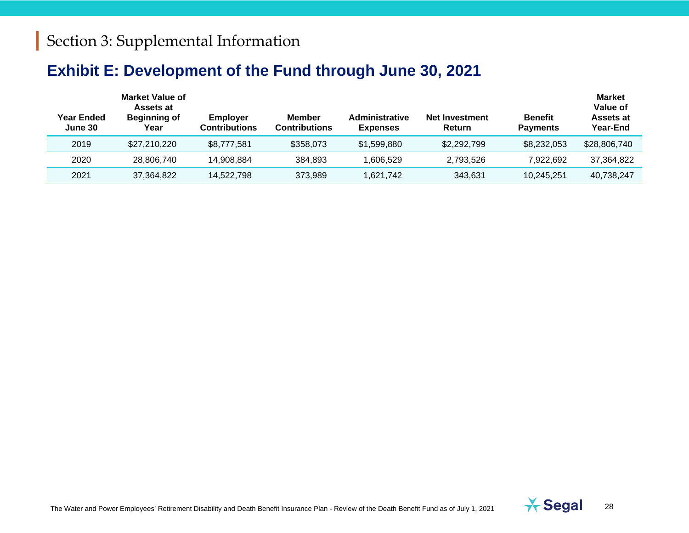#### **Exhibit E: Development of the Fund through June 30, 2021**

| Year Ended<br>June 30 | <b>Market Value of</b><br>Assets at<br><b>Beginning of</b><br>Year | <b>Employer</b><br><b>Contributions</b> | <b>Member</b><br><b>Contributions</b> | <b>Administrative</b><br><b>Expenses</b> | Net Investment<br><b>Return</b> | <b>Benefit</b><br><b>Payments</b> | <b>Market</b><br>Value of<br>Assets at<br>Year-End |
|-----------------------|--------------------------------------------------------------------|-----------------------------------------|---------------------------------------|------------------------------------------|---------------------------------|-----------------------------------|----------------------------------------------------|
| 2019                  | \$27,210,220                                                       | \$8,777,581                             | \$358,073                             | \$1,599,880                              | \$2,292,799                     | \$8,232,053                       | \$28,806,740                                       |
| 2020                  | 28,806,740                                                         | 14.908.884                              | 384.893                               | ,606,529                                 | 2.793.526                       | 7,922,692                         | 37,364,822                                         |
| 2021                  | 37,364,822                                                         | 14.522.798                              | 373.989                               | 621,742.                                 | 343,631                         | 10.245.251                        | 40,738,247                                         |

The Water and Power Employees' Retirement Disability and Death Benefit Insurance Plan - Review of the Death Benefit Fund as of July 1, 2021 **1999** Segal 28

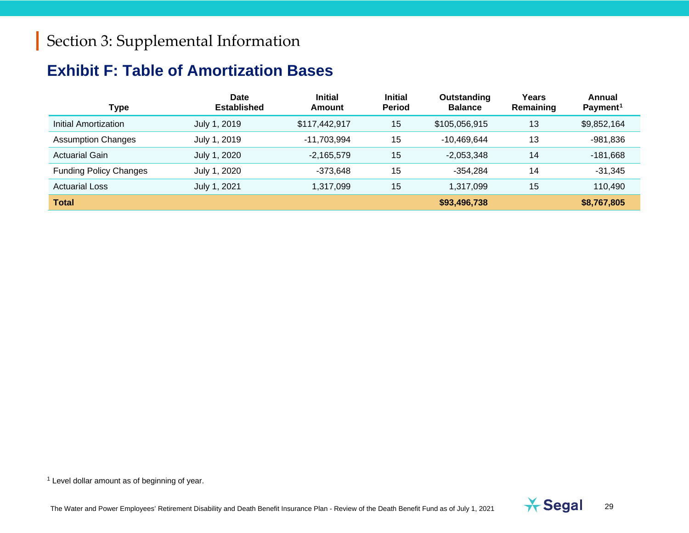## <span id="page-28-1"></span><span id="page-28-0"></span>**Exhibit F: Table of Amortization Bases**

| <b>Type</b>                   | Date<br><b>Established</b> | <b>Initial</b><br><b>Amount</b> | <b>Initial</b><br><b>Period</b> | Outstanding<br><b>Balance</b> | Years<br>Remaining | Annual<br>Payment <sup>1</sup> |
|-------------------------------|----------------------------|---------------------------------|---------------------------------|-------------------------------|--------------------|--------------------------------|
| Initial Amortization          | July 1, 2019               | \$117,442,917                   | 15                              | \$105,056,915                 | 13                 | \$9,852,164                    |
| <b>Assumption Changes</b>     | July 1, 2019               | -11.703.994                     | 15                              | -10.469.644                   | 13                 | $-981,836$                     |
| <b>Actuarial Gain</b>         | July 1, 2020               | $-2,165,579$                    | 15                              | $-2,053,348$                  | 14                 | $-181,668$                     |
| <b>Funding Policy Changes</b> | July 1, 2020               | -373.648                        | 15                              | -354.284                      | 14                 | $-31,345$                      |
| <b>Actuarial Loss</b>         | July 1, 2021               | 1,317,099                       | 15                              | 1,317,099                     | 15                 | 110,490                        |
| <b>Total</b>                  |                            |                                 |                                 | \$93,496,738                  |                    | \$8,767,805                    |

 $1$  Level dollar amount as of beginning of year.

The Water and Power Employees' Retirement Disability and Death Benefit Insurance Plan - Review of the Death Benefit Fund as of July 1, 2021 **1999** 

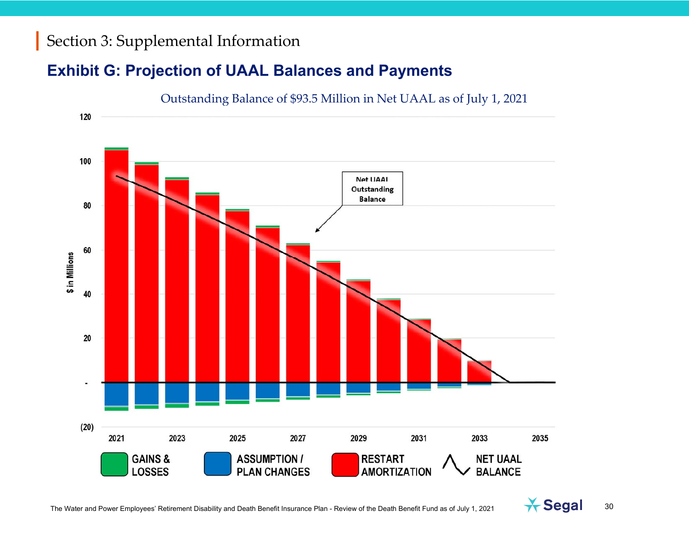#### **Exhibit G: Projection of UAAL Balances and Payments**



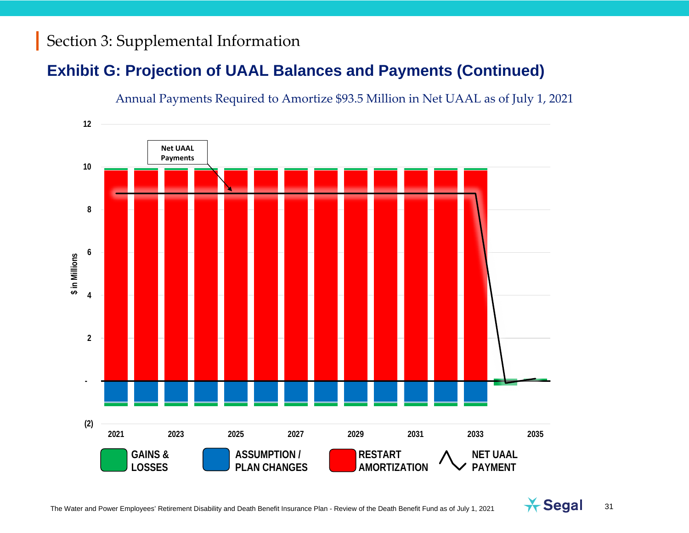## **Exhibit G: Projection of UAAL Balances and Payments (Continued)**





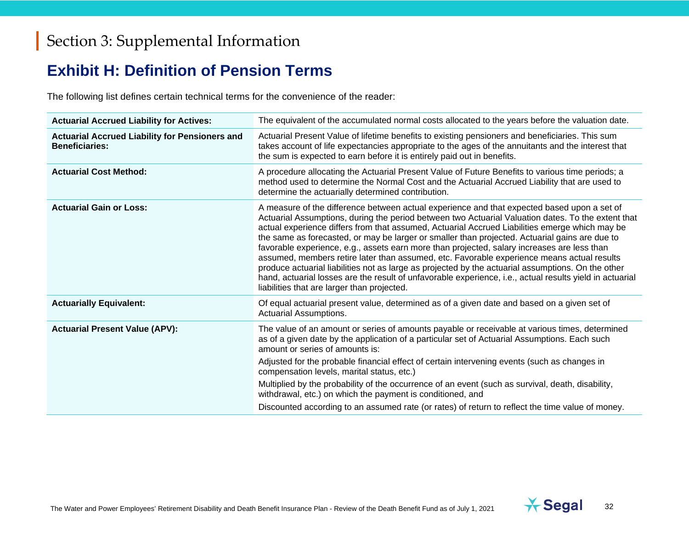#### **Exhibit H: Definition of Pension Terms**

The following list defines certain technical terms for the convenience of the reader:

| <b>Actuarial Accrued Liability for Actives:</b>                                | The equivalent of the accumulated normal costs allocated to the years before the valuation date.                                                                                                                                                                                                                                                                                                                                                                                                                                                                                                                                                                                                                                                                                                                                                                    |
|--------------------------------------------------------------------------------|---------------------------------------------------------------------------------------------------------------------------------------------------------------------------------------------------------------------------------------------------------------------------------------------------------------------------------------------------------------------------------------------------------------------------------------------------------------------------------------------------------------------------------------------------------------------------------------------------------------------------------------------------------------------------------------------------------------------------------------------------------------------------------------------------------------------------------------------------------------------|
| <b>Actuarial Accrued Liability for Pensioners and</b><br><b>Beneficiaries:</b> | Actuarial Present Value of lifetime benefits to existing pensioners and beneficiaries. This sum<br>takes account of life expectancies appropriate to the ages of the annuitants and the interest that<br>the sum is expected to earn before it is entirely paid out in benefits.                                                                                                                                                                                                                                                                                                                                                                                                                                                                                                                                                                                    |
| <b>Actuarial Cost Method:</b>                                                  | A procedure allocating the Actuarial Present Value of Future Benefits to various time periods; a<br>method used to determine the Normal Cost and the Actuarial Accrued Liability that are used to<br>determine the actuarially determined contribution.                                                                                                                                                                                                                                                                                                                                                                                                                                                                                                                                                                                                             |
| <b>Actuarial Gain or Loss:</b>                                                 | A measure of the difference between actual experience and that expected based upon a set of<br>Actuarial Assumptions, during the period between two Actuarial Valuation dates. To the extent that<br>actual experience differs from that assumed, Actuarial Accrued Liabilities emerge which may be<br>the same as forecasted, or may be larger or smaller than projected. Actuarial gains are due to<br>favorable experience, e.g., assets earn more than projected, salary increases are less than<br>assumed, members retire later than assumed, etc. Favorable experience means actual results<br>produce actuarial liabilities not as large as projected by the actuarial assumptions. On the other<br>hand, actuarial losses are the result of unfavorable experience, i.e., actual results yield in actuarial<br>liabilities that are larger than projected. |
| <b>Actuarially Equivalent:</b>                                                 | Of equal actuarial present value, determined as of a given date and based on a given set of<br>Actuarial Assumptions.                                                                                                                                                                                                                                                                                                                                                                                                                                                                                                                                                                                                                                                                                                                                               |
| <b>Actuarial Present Value (APV):</b>                                          | The value of an amount or series of amounts payable or receivable at various times, determined<br>as of a given date by the application of a particular set of Actuarial Assumptions. Each such<br>amount or series of amounts is:<br>Adjusted for the probable financial effect of certain intervening events (such as changes in<br>compensation levels, marital status, etc.)<br>Multiplied by the probability of the occurrence of an event (such as survival, death, disability,<br>withdrawal, etc.) on which the payment is conditioned, and<br>Discounted according to an assumed rate (or rates) of return to reflect the time value of money.                                                                                                                                                                                                             |

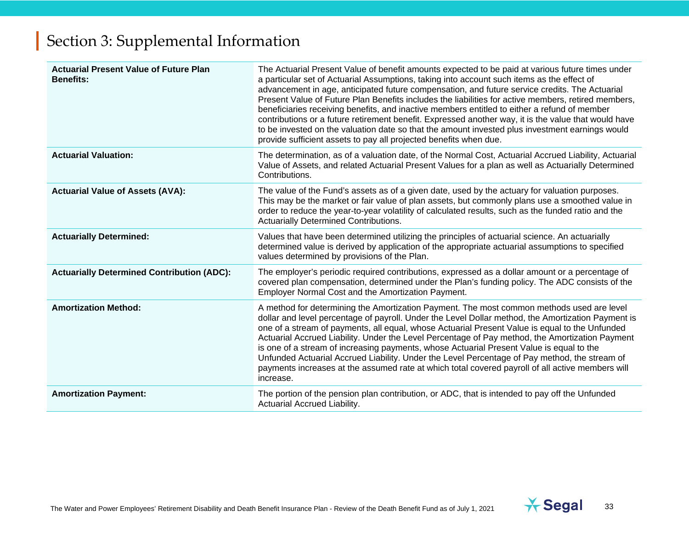| <b>Actuarial Present Value of Future Plan</b><br><b>Benefits:</b> | The Actuarial Present Value of benefit amounts expected to be paid at various future times under<br>a particular set of Actuarial Assumptions, taking into account such items as the effect of<br>advancement in age, anticipated future compensation, and future service credits. The Actuarial<br>Present Value of Future Plan Benefits includes the liabilities for active members, retired members,<br>beneficiaries receiving benefits, and inactive members entitled to either a refund of member<br>contributions or a future retirement benefit. Expressed another way, it is the value that would have<br>to be invested on the valuation date so that the amount invested plus investment earnings would<br>provide sufficient assets to pay all projected benefits when due. |
|-------------------------------------------------------------------|-----------------------------------------------------------------------------------------------------------------------------------------------------------------------------------------------------------------------------------------------------------------------------------------------------------------------------------------------------------------------------------------------------------------------------------------------------------------------------------------------------------------------------------------------------------------------------------------------------------------------------------------------------------------------------------------------------------------------------------------------------------------------------------------|
| <b>Actuarial Valuation:</b>                                       | The determination, as of a valuation date, of the Normal Cost, Actuarial Accrued Liability, Actuarial<br>Value of Assets, and related Actuarial Present Values for a plan as well as Actuarially Determined<br>Contributions.                                                                                                                                                                                                                                                                                                                                                                                                                                                                                                                                                           |
| <b>Actuarial Value of Assets (AVA):</b>                           | The value of the Fund's assets as of a given date, used by the actuary for valuation purposes.<br>This may be the market or fair value of plan assets, but commonly plans use a smoothed value in<br>order to reduce the year-to-year volatility of calculated results, such as the funded ratio and the<br><b>Actuarially Determined Contributions.</b>                                                                                                                                                                                                                                                                                                                                                                                                                                |
| <b>Actuarially Determined:</b>                                    | Values that have been determined utilizing the principles of actuarial science. An actuarially<br>determined value is derived by application of the appropriate actuarial assumptions to specified<br>values determined by provisions of the Plan.                                                                                                                                                                                                                                                                                                                                                                                                                                                                                                                                      |
| <b>Actuarially Determined Contribution (ADC):</b>                 | The employer's periodic required contributions, expressed as a dollar amount or a percentage of<br>covered plan compensation, determined under the Plan's funding policy. The ADC consists of the<br>Employer Normal Cost and the Amortization Payment.                                                                                                                                                                                                                                                                                                                                                                                                                                                                                                                                 |
| <b>Amortization Method:</b>                                       | A method for determining the Amortization Payment. The most common methods used are level<br>dollar and level percentage of payroll. Under the Level Dollar method, the Amortization Payment is<br>one of a stream of payments, all equal, whose Actuarial Present Value is equal to the Unfunded<br>Actuarial Accrued Liability. Under the Level Percentage of Pay method, the Amortization Payment<br>is one of a stream of increasing payments, whose Actuarial Present Value is equal to the<br>Unfunded Actuarial Accrued Liability. Under the Level Percentage of Pay method, the stream of<br>payments increases at the assumed rate at which total covered payroll of all active members will<br>increase.                                                                      |
| <b>Amortization Payment:</b>                                      | The portion of the pension plan contribution, or ADC, that is intended to pay off the Unfunded<br>Actuarial Accrued Liability.                                                                                                                                                                                                                                                                                                                                                                                                                                                                                                                                                                                                                                                          |

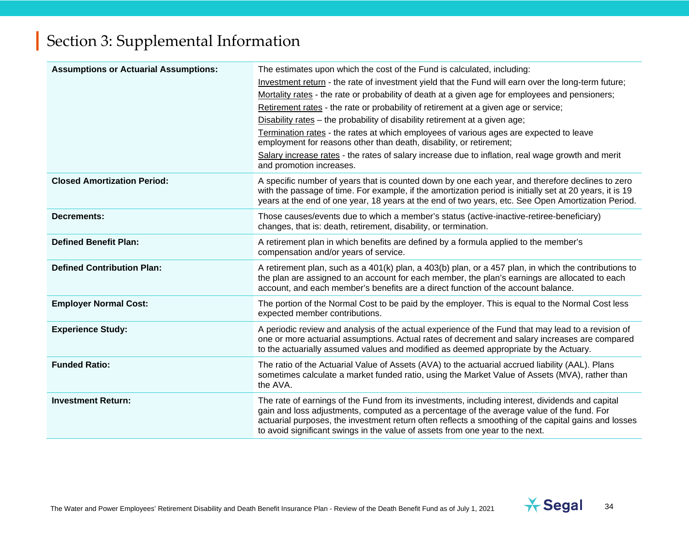| <b>Assumptions or Actuarial Assumptions:</b> | The estimates upon which the cost of the Fund is calculated, including:<br>Investment return - the rate of investment yield that the Fund will earn over the long-term future;<br>Mortality rates - the rate or probability of death at a given age for employees and pensioners;<br>Retirement rates - the rate or probability of retirement at a given age or service;<br>Disability rates - the probability of disability retirement at a given age;<br>Termination rates - the rates at which employees of various ages are expected to leave<br>employment for reasons other than death, disability, or retirement;<br>Salary increase rates - the rates of salary increase due to inflation, real wage growth and merit<br>and promotion increases. |
|----------------------------------------------|-----------------------------------------------------------------------------------------------------------------------------------------------------------------------------------------------------------------------------------------------------------------------------------------------------------------------------------------------------------------------------------------------------------------------------------------------------------------------------------------------------------------------------------------------------------------------------------------------------------------------------------------------------------------------------------------------------------------------------------------------------------|
| <b>Closed Amortization Period:</b>           | A specific number of years that is counted down by one each year, and therefore declines to zero<br>with the passage of time. For example, if the amortization period is initially set at 20 years, it is 19<br>years at the end of one year, 18 years at the end of two years, etc. See Open Amortization Period.                                                                                                                                                                                                                                                                                                                                                                                                                                        |
| <b>Decrements:</b>                           | Those causes/events due to which a member's status (active-inactive-retiree-beneficiary)<br>changes, that is: death, retirement, disability, or termination.                                                                                                                                                                                                                                                                                                                                                                                                                                                                                                                                                                                              |
| <b>Defined Benefit Plan:</b>                 | A retirement plan in which benefits are defined by a formula applied to the member's<br>compensation and/or years of service.                                                                                                                                                                                                                                                                                                                                                                                                                                                                                                                                                                                                                             |
| <b>Defined Contribution Plan:</b>            | A retirement plan, such as a 401(k) plan, a 403(b) plan, or a 457 plan, in which the contributions to<br>the plan are assigned to an account for each member, the plan's earnings are allocated to each<br>account, and each member's benefits are a direct function of the account balance.                                                                                                                                                                                                                                                                                                                                                                                                                                                              |
| <b>Employer Normal Cost:</b>                 | The portion of the Normal Cost to be paid by the employer. This is equal to the Normal Cost less<br>expected member contributions.                                                                                                                                                                                                                                                                                                                                                                                                                                                                                                                                                                                                                        |
| <b>Experience Study:</b>                     | A periodic review and analysis of the actual experience of the Fund that may lead to a revision of<br>one or more actuarial assumptions. Actual rates of decrement and salary increases are compared<br>to the actuarially assumed values and modified as deemed appropriate by the Actuary.                                                                                                                                                                                                                                                                                                                                                                                                                                                              |
| <b>Funded Ratio:</b>                         | The ratio of the Actuarial Value of Assets (AVA) to the actuarial accrued liability (AAL). Plans<br>sometimes calculate a market funded ratio, using the Market Value of Assets (MVA), rather than<br>the AVA.                                                                                                                                                                                                                                                                                                                                                                                                                                                                                                                                            |
| <b>Investment Return:</b>                    | The rate of earnings of the Fund from its investments, including interest, dividends and capital<br>gain and loss adjustments, computed as a percentage of the average value of the fund. For<br>actuarial purposes, the investment return often reflects a smoothing of the capital gains and losses<br>to avoid significant swings in the value of assets from one year to the next.                                                                                                                                                                                                                                                                                                                                                                    |

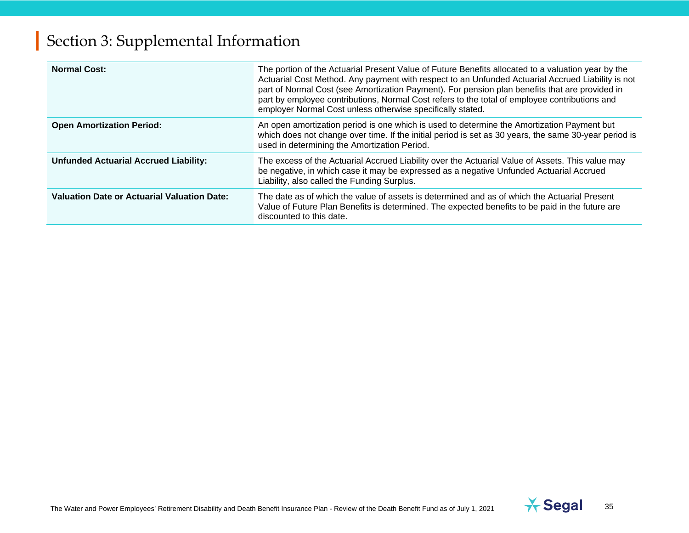| <b>Normal Cost:</b>                                | The portion of the Actuarial Present Value of Future Benefits allocated to a valuation year by the<br>Actuarial Cost Method. Any payment with respect to an Unfunded Actuarial Accrued Liability is not<br>part of Normal Cost (see Amortization Payment). For pension plan benefits that are provided in<br>part by employee contributions, Normal Cost refers to the total of employee contributions and<br>employer Normal Cost unless otherwise specifically stated. |
|----------------------------------------------------|--------------------------------------------------------------------------------------------------------------------------------------------------------------------------------------------------------------------------------------------------------------------------------------------------------------------------------------------------------------------------------------------------------------------------------------------------------------------------|
| <b>Open Amortization Period:</b>                   | An open amortization period is one which is used to determine the Amortization Payment but<br>which does not change over time. If the initial period is set as 30 years, the same 30-year period is<br>used in determining the Amortization Period.                                                                                                                                                                                                                      |
| <b>Unfunded Actuarial Accrued Liability:</b>       | The excess of the Actuarial Accrued Liability over the Actuarial Value of Assets. This value may<br>be negative, in which case it may be expressed as a negative Unfunded Actuarial Accrued<br>Liability, also called the Funding Surplus.                                                                                                                                                                                                                               |
| <b>Valuation Date or Actuarial Valuation Date:</b> | The date as of which the value of assets is determined and as of which the Actuarial Present<br>Value of Future Plan Benefits is determined. The expected benefits to be paid in the future are<br>discounted to this date.                                                                                                                                                                                                                                              |

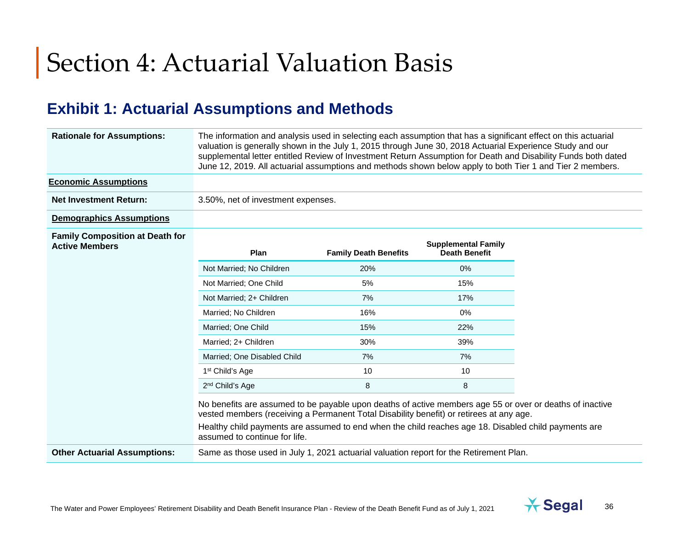# Section 4: Actuarial Valuation Basis

### <span id="page-35-0"></span>**Exhibit 1: Actuarial Assumptions and Methods**

| <b>Rationale for Assumptions:</b>                               | The information and analysis used in selecting each assumption that has a significant effect on this actuarial<br>valuation is generally shown in the July 1, 2015 through June 30, 2018 Actuarial Experience Study and our<br>supplemental letter entitled Review of Investment Return Assumption for Death and Disability Funds both dated<br>June 12, 2019. All actuarial assumptions and methods shown below apply to both Tier 1 and Tier 2 members. |                              |                                                    |  |
|-----------------------------------------------------------------|-----------------------------------------------------------------------------------------------------------------------------------------------------------------------------------------------------------------------------------------------------------------------------------------------------------------------------------------------------------------------------------------------------------------------------------------------------------|------------------------------|----------------------------------------------------|--|
| <b>Economic Assumptions</b>                                     |                                                                                                                                                                                                                                                                                                                                                                                                                                                           |                              |                                                    |  |
| <b>Net Investment Return:</b>                                   | 3.50%, net of investment expenses.                                                                                                                                                                                                                                                                                                                                                                                                                        |                              |                                                    |  |
| <b>Demographics Assumptions</b>                                 |                                                                                                                                                                                                                                                                                                                                                                                                                                                           |                              |                                                    |  |
| <b>Family Composition at Death for</b><br><b>Active Members</b> | Plan                                                                                                                                                                                                                                                                                                                                                                                                                                                      | <b>Family Death Benefits</b> | <b>Supplemental Family</b><br><b>Death Benefit</b> |  |
|                                                                 | Not Married; No Children                                                                                                                                                                                                                                                                                                                                                                                                                                  | 20%                          | 0%                                                 |  |
|                                                                 | Not Married; One Child                                                                                                                                                                                                                                                                                                                                                                                                                                    | 5%                           | 15%                                                |  |
|                                                                 | Not Married; 2+ Children                                                                                                                                                                                                                                                                                                                                                                                                                                  | 7%                           | 17%                                                |  |
|                                                                 | Married; No Children                                                                                                                                                                                                                                                                                                                                                                                                                                      | 16%                          | 0%                                                 |  |
|                                                                 | Married; One Child                                                                                                                                                                                                                                                                                                                                                                                                                                        | 15%                          | 22%                                                |  |
|                                                                 | Married; 2+ Children                                                                                                                                                                                                                                                                                                                                                                                                                                      | 30%                          | 39%                                                |  |
|                                                                 | Married; One Disabled Child                                                                                                                                                                                                                                                                                                                                                                                                                               | 7%                           | 7%                                                 |  |
|                                                                 | 1 <sup>st</sup> Child's Age                                                                                                                                                                                                                                                                                                                                                                                                                               | 10                           | 10                                                 |  |
|                                                                 | 2 <sup>nd</sup> Child's Age                                                                                                                                                                                                                                                                                                                                                                                                                               | 8                            | 8                                                  |  |
|                                                                 | No benefits are assumed to be payable upon deaths of active members age 55 or over or deaths of inactive<br>vested members (receiving a Permanent Total Disability benefit) or retirees at any age.<br>Healthy child payments are assumed to end when the child reaches age 18. Disabled child payments are<br>assumed to continue for life.                                                                                                              |                              |                                                    |  |
| <b>Other Actuarial Assumptions:</b>                             | Same as those used in July 1, 2021 actuarial valuation report for the Retirement Plan.                                                                                                                                                                                                                                                                                                                                                                    |                              |                                                    |  |

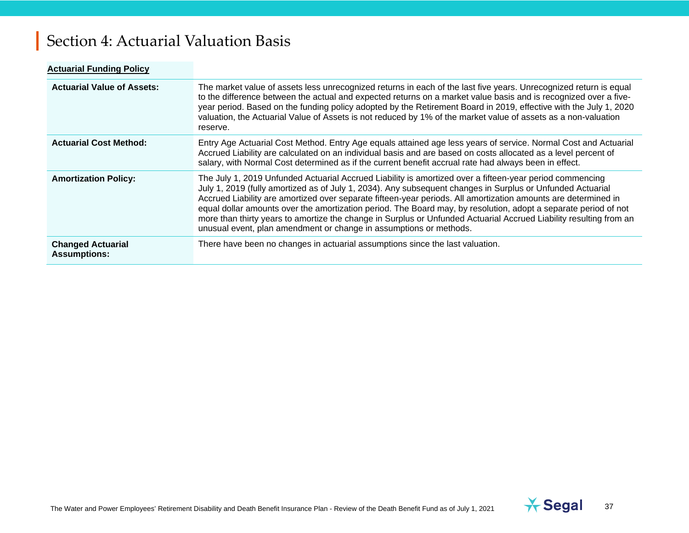# Section 4: Actuarial Valuation Basis

| <b>Actuarial Funding Policy</b>                 |                                                                                                                                                                                                                                                                                                                                                                                                                                                                                                                                                                                                                                                         |
|-------------------------------------------------|---------------------------------------------------------------------------------------------------------------------------------------------------------------------------------------------------------------------------------------------------------------------------------------------------------------------------------------------------------------------------------------------------------------------------------------------------------------------------------------------------------------------------------------------------------------------------------------------------------------------------------------------------------|
| <b>Actuarial Value of Assets:</b>               | The market value of assets less unrecognized returns in each of the last five years. Unrecognized return is equal<br>to the difference between the actual and expected returns on a market value basis and is recognized over a five-<br>year period. Based on the funding policy adopted by the Retirement Board in 2019, effective with the July 1, 2020<br>valuation, the Actuarial Value of Assets is not reduced by 1% of the market value of assets as a non-valuation<br>reserve.                                                                                                                                                                |
| <b>Actuarial Cost Method:</b>                   | Entry Age Actuarial Cost Method. Entry Age equals attained age less years of service. Normal Cost and Actuarial<br>Accrued Liability are calculated on an individual basis and are based on costs allocated as a level percent of<br>salary, with Normal Cost determined as if the current benefit accrual rate had always been in effect.                                                                                                                                                                                                                                                                                                              |
| <b>Amortization Policy:</b>                     | The July 1, 2019 Unfunded Actuarial Accrued Liability is amortized over a fifteen-year period commencing<br>July 1, 2019 (fully amortized as of July 1, 2034). Any subsequent changes in Surplus or Unfunded Actuarial<br>Accrued Liability are amortized over separate fifteen-year periods. All amortization amounts are determined in<br>equal dollar amounts over the amortization period. The Board may, by resolution, adopt a separate period of not<br>more than thirty years to amortize the change in Surplus or Unfunded Actuarial Accrued Liability resulting from an<br>unusual event, plan amendment or change in assumptions or methods. |
| <b>Changed Actuarial</b><br><b>Assumptions:</b> | There have been no changes in actuarial assumptions since the last valuation.                                                                                                                                                                                                                                                                                                                                                                                                                                                                                                                                                                           |

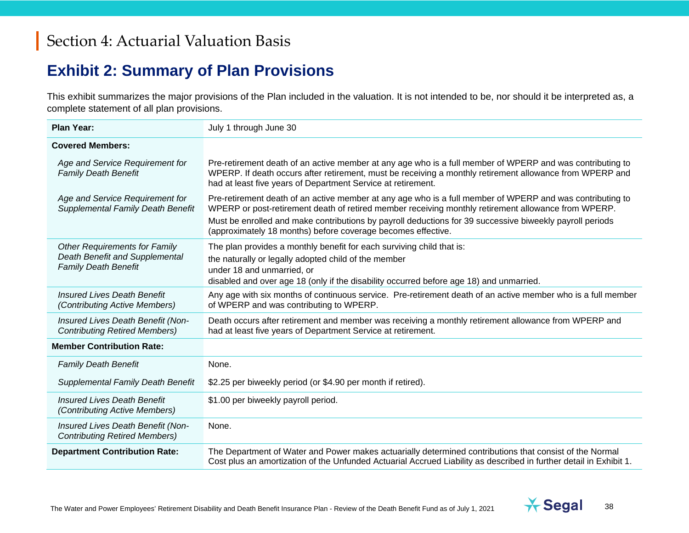## **Exhibit 2: Summary of Plan Provisions**

This exhibit summarizes the major provisions of the Plan included in the valuation. It is not intended to be, nor should it be interpreted as, a complete statement of all plan provisions.

| <b>Plan Year:</b>                                                                                     | July 1 through June 30                                                                                                                                                                                                                                                                |  |
|-------------------------------------------------------------------------------------------------------|---------------------------------------------------------------------------------------------------------------------------------------------------------------------------------------------------------------------------------------------------------------------------------------|--|
| <b>Covered Members:</b>                                                                               |                                                                                                                                                                                                                                                                                       |  |
| Age and Service Requirement for<br><b>Family Death Benefit</b>                                        | Pre-retirement death of an active member at any age who is a full member of WPERP and was contributing to<br>WPERP. If death occurs after retirement, must be receiving a monthly retirement allowance from WPERP and<br>had at least five years of Department Service at retirement. |  |
| Age and Service Requirement for<br><b>Supplemental Family Death Benefit</b>                           | Pre-retirement death of an active member at any age who is a full member of WPERP and was contributing to<br>WPERP or post-retirement death of retired member receiving monthly retirement allowance from WPERP.                                                                      |  |
|                                                                                                       | Must be enrolled and make contributions by payroll deductions for 39 successive biweekly payroll periods<br>(approximately 18 months) before coverage becomes effective.                                                                                                              |  |
| <b>Other Requirements for Family</b><br>Death Benefit and Supplemental<br><b>Family Death Benefit</b> | The plan provides a monthly benefit for each surviving child that is:                                                                                                                                                                                                                 |  |
|                                                                                                       | the naturally or legally adopted child of the member                                                                                                                                                                                                                                  |  |
|                                                                                                       | under 18 and unmarried, or                                                                                                                                                                                                                                                            |  |
|                                                                                                       | disabled and over age 18 (only if the disability occurred before age 18) and unmarried.                                                                                                                                                                                               |  |
| <b>Insured Lives Death Benefit</b><br>(Contributing Active Members)                                   | Any age with six months of continuous service. Pre-retirement death of an active member who is a full member<br>of WPERP and was contributing to WPERP.                                                                                                                               |  |
| Insured Lives Death Benefit (Non-<br><b>Contributing Retired Members)</b>                             | Death occurs after retirement and member was receiving a monthly retirement allowance from WPERP and<br>had at least five years of Department Service at retirement.                                                                                                                  |  |
| <b>Member Contribution Rate:</b>                                                                      |                                                                                                                                                                                                                                                                                       |  |
| <b>Family Death Benefit</b>                                                                           | None.                                                                                                                                                                                                                                                                                 |  |
| <b>Supplemental Family Death Benefit</b>                                                              | \$2.25 per biweekly period (or \$4.90 per month if retired).                                                                                                                                                                                                                          |  |
| <b>Insured Lives Death Benefit</b><br>(Contributing Active Members)                                   | \$1.00 per biweekly payroll period.                                                                                                                                                                                                                                                   |  |
| Insured Lives Death Benefit (Non-<br><b>Contributing Retired Members)</b>                             | None.                                                                                                                                                                                                                                                                                 |  |
| <b>Department Contribution Rate:</b>                                                                  | The Department of Water and Power makes actuarially determined contributions that consist of the Normal<br>Cost plus an amortization of the Unfunded Actuarial Accrued Liability as described in further detail in Exhibit 1.                                                         |  |